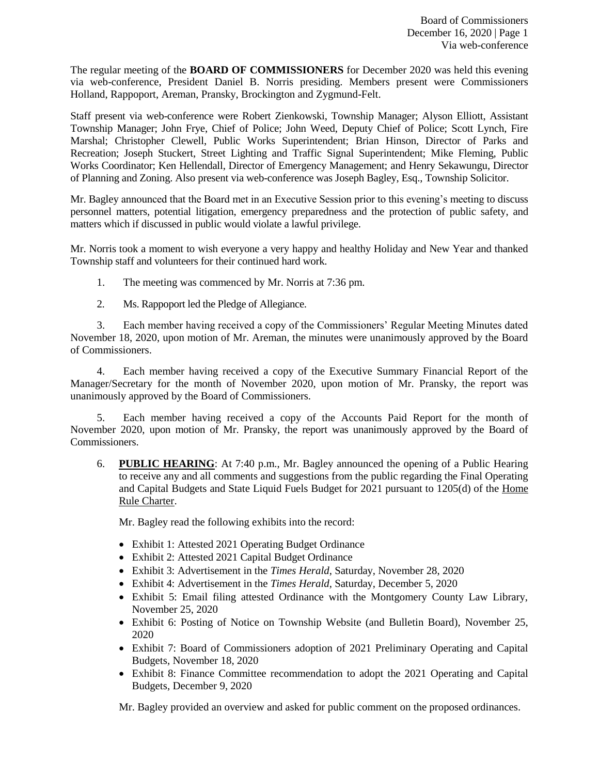The regular meeting of the **BOARD OF COMMISSIONERS** for December 2020 was held this evening via web-conference, President Daniel B. Norris presiding. Members present were Commissioners Holland, Rappoport, Areman, Pransky, Brockington and Zygmund-Felt.

Staff present via web-conference were Robert Zienkowski, Township Manager; Alyson Elliott, Assistant Township Manager; John Frye, Chief of Police; John Weed, Deputy Chief of Police; Scott Lynch, Fire Marshal; Christopher Clewell, Public Works Superintendent; Brian Hinson, Director of Parks and Recreation; Joseph Stuckert, Street Lighting and Traffic Signal Superintendent; Mike Fleming, Public Works Coordinator; Ken Hellendall, Director of Emergency Management; and Henry Sekawungu, Director of Planning and Zoning. Also present via web-conference was Joseph Bagley, Esq., Township Solicitor.

Mr. Bagley announced that the Board met in an Executive Session prior to this evening's meeting to discuss personnel matters, potential litigation, emergency preparedness and the protection of public safety, and matters which if discussed in public would violate a lawful privilege.

Mr. Norris took a moment to wish everyone a very happy and healthy Holiday and New Year and thanked Township staff and volunteers for their continued hard work.

- 1. The meeting was commenced by Mr. Norris at 7:36 pm.
- 2. Ms. Rappoport led the Pledge of Allegiance.

3. Each member having received a copy of the Commissioners' Regular Meeting Minutes dated November 18, 2020, upon motion of Mr. Areman, the minutes were unanimously approved by the Board of Commissioners.

4. Each member having received a copy of the Executive Summary Financial Report of the Manager/Secretary for the month of November 2020, upon motion of Mr. Pransky, the report was unanimously approved by the Board of Commissioners.

5. Each member having received a copy of the Accounts Paid Report for the month of November 2020, upon motion of Mr. Pransky, the report was unanimously approved by the Board of Commissioners.

6. **PUBLIC HEARING**: At 7:40 p.m., Mr. Bagley announced the opening of a Public Hearing to receive any and all comments and suggestions from the public regarding the Final Operating and Capital Budgets and State Liquid Fuels Budget for 2021 pursuant to 1205(d) of the Home Rule Charter.

Mr. Bagley read the following exhibits into the record:

- Exhibit 1: Attested 2021 Operating Budget Ordinance
- Exhibit 2: Attested 2021 Capital Budget Ordinance
- Exhibit 3: Advertisement in the *Times Herald*, Saturday, November 28, 2020
- Exhibit 4: Advertisement in the *Times Herald*, Saturday, December 5, 2020
- Exhibit 5: Email filing attested Ordinance with the Montgomery County Law Library, November 25, 2020
- Exhibit 6: Posting of Notice on Township Website (and Bulletin Board), November 25, 2020
- Exhibit 7: Board of Commissioners adoption of 2021 Preliminary Operating and Capital Budgets, November 18, 2020
- Exhibit 8: Finance Committee recommendation to adopt the 2021 Operating and Capital Budgets, December 9, 2020

Mr. Bagley provided an overview and asked for public comment on the proposed ordinances.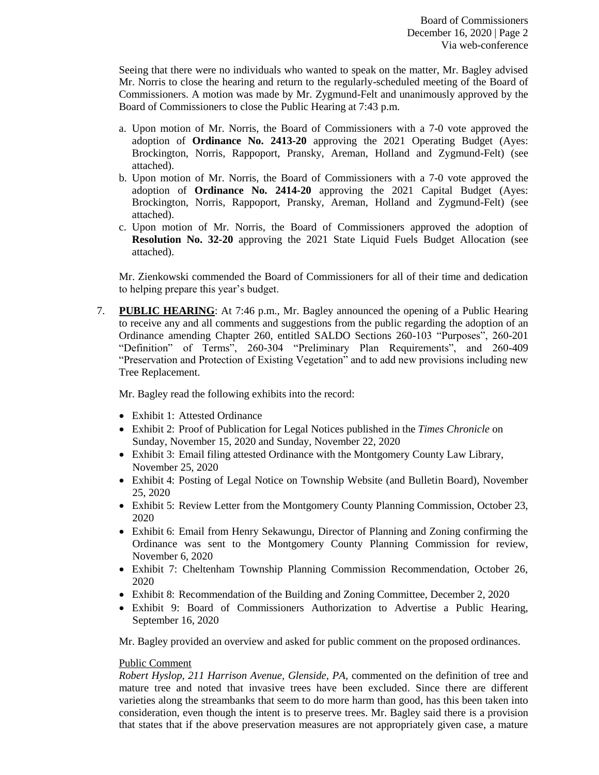Seeing that there were no individuals who wanted to speak on the matter, Mr. Bagley advised Mr. Norris to close the hearing and return to the regularly-scheduled meeting of the Board of Commissioners. A motion was made by Mr. Zygmund-Felt and unanimously approved by the Board of Commissioners to close the Public Hearing at 7:43 p.m.

- a. Upon motion of Mr. Norris, the Board of Commissioners with a 7-0 vote approved the adoption of **Ordinance No. 2413-20** approving the 2021 Operating Budget (Ayes: Brockington, Norris, Rappoport, Pransky, Areman, Holland and Zygmund-Felt) (see attached).
- b. Upon motion of Mr. Norris, the Board of Commissioners with a 7-0 vote approved the adoption of **Ordinance No. 2414-20** approving the 2021 Capital Budget (Ayes: Brockington, Norris, Rappoport, Pransky, Areman, Holland and Zygmund-Felt) (see attached).
- c. Upon motion of Mr. Norris, the Board of Commissioners approved the adoption of **Resolution No. 32-20** approving the 2021 State Liquid Fuels Budget Allocation (see attached).

Mr. Zienkowski commended the Board of Commissioners for all of their time and dedication to helping prepare this year's budget.

7. **PUBLIC HEARING**: At 7:46 p.m., Mr. Bagley announced the opening of a Public Hearing to receive any and all comments and suggestions from the public regarding the adoption of an Ordinance amending Chapter 260, entitled SALDO Sections 260-103 "Purposes", 260-201 "Definition" of Terms", 260-304 "Preliminary Plan Requirements", and 260-409 "Preservation and Protection of Existing Vegetation" and to add new provisions including new Tree Replacement.

Mr. Bagley read the following exhibits into the record:

- Exhibit 1: Attested Ordinance
- Exhibit 2: Proof of Publication for Legal Notices published in the *Times Chronicle* on Sunday, November 15, 2020 and Sunday, November 22, 2020
- Exhibit 3: Email filing attested Ordinance with the Montgomery County Law Library, November 25, 2020
- Exhibit 4: Posting of Legal Notice on Township Website (and Bulletin Board), November 25, 2020
- Exhibit 5: Review Letter from the Montgomery County Planning Commission, October 23, 2020
- Exhibit 6: Email from Henry Sekawungu, Director of Planning and Zoning confirming the Ordinance was sent to the Montgomery County Planning Commission for review, November 6, 2020
- Exhibit 7: Cheltenham Township Planning Commission Recommendation, October 26, 2020
- Exhibit 8: Recommendation of the Building and Zoning Committee, December 2, 2020
- Exhibit 9: Board of Commissioners Authorization to Advertise a Public Hearing, September 16, 2020

Mr. Bagley provided an overview and asked for public comment on the proposed ordinances.

### Public Comment

*Robert Hyslop, 211 Harrison Avenue, Glenside, PA,* commented on the definition of tree and mature tree and noted that invasive trees have been excluded. Since there are different varieties along the streambanks that seem to do more harm than good, has this been taken into consideration, even though the intent is to preserve trees. Mr. Bagley said there is a provision that states that if the above preservation measures are not appropriately given case, a mature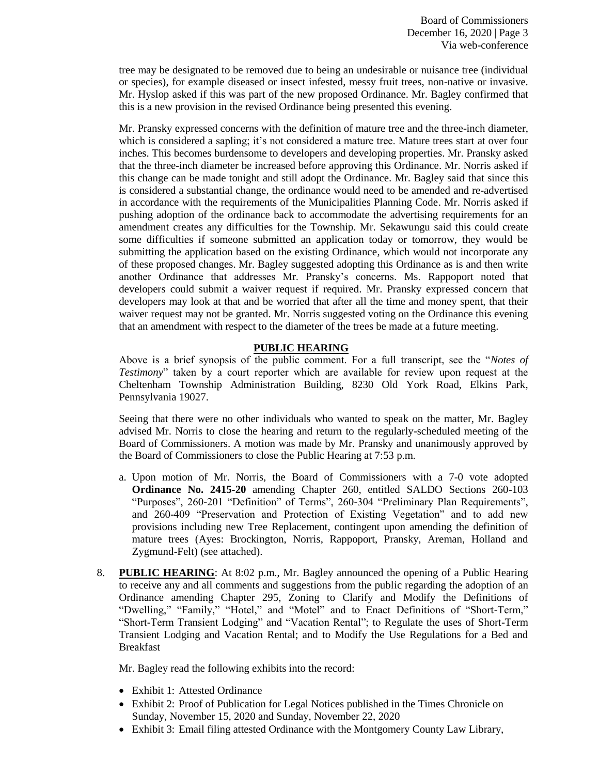tree may be designated to be removed due to being an undesirable or nuisance tree (individual or species), for example diseased or insect infested, messy fruit trees, non-native or invasive. Mr. Hyslop asked if this was part of the new proposed Ordinance. Mr. Bagley confirmed that this is a new provision in the revised Ordinance being presented this evening.

Mr. Pransky expressed concerns with the definition of mature tree and the three-inch diameter, which is considered a sapling; it's not considered a mature tree. Mature trees start at over four inches. This becomes burdensome to developers and developing properties. Mr. Pransky asked that the three-inch diameter be increased before approving this Ordinance. Mr. Norris asked if this change can be made tonight and still adopt the Ordinance. Mr. Bagley said that since this is considered a substantial change, the ordinance would need to be amended and re-advertised in accordance with the requirements of the Municipalities Planning Code. Mr. Norris asked if pushing adoption of the ordinance back to accommodate the advertising requirements for an amendment creates any difficulties for the Township. Mr. Sekawungu said this could create some difficulties if someone submitted an application today or tomorrow, they would be submitting the application based on the existing Ordinance, which would not incorporate any of these proposed changes. Mr. Bagley suggested adopting this Ordinance as is and then write another Ordinance that addresses Mr. Pransky's concerns. Ms. Rappoport noted that developers could submit a waiver request if required. Mr. Pransky expressed concern that developers may look at that and be worried that after all the time and money spent, that their waiver request may not be granted. Mr. Norris suggested voting on the Ordinance this evening that an amendment with respect to the diameter of the trees be made at a future meeting.

# **PUBLIC HEARING**

Above is a brief synopsis of the public comment. For a full transcript, see the "*Notes of Testimony*" taken by a court reporter which are available for review upon request at the Cheltenham Township Administration Building, 8230 Old York Road, Elkins Park, Pennsylvania 19027.

Seeing that there were no other individuals who wanted to speak on the matter, Mr. Bagley advised Mr. Norris to close the hearing and return to the regularly-scheduled meeting of the Board of Commissioners. A motion was made by Mr. Pransky and unanimously approved by the Board of Commissioners to close the Public Hearing at 7:53 p.m.

- a. Upon motion of Mr. Norris, the Board of Commissioners with a 7-0 vote adopted **Ordinance No. 2415-20** amending Chapter 260, entitled SALDO Sections 260-103 "Purposes", 260-201 "Definition" of Terms", 260-304 "Preliminary Plan Requirements", and 260-409 "Preservation and Protection of Existing Vegetation" and to add new provisions including new Tree Replacement, contingent upon amending the definition of mature trees (Ayes: Brockington, Norris, Rappoport, Pransky, Areman, Holland and Zygmund-Felt) (see attached).
- 8. **PUBLIC HEARING**: At 8:02 p.m., Mr. Bagley announced the opening of a Public Hearing to receive any and all comments and suggestions from the public regarding the adoption of an Ordinance amending Chapter 295, Zoning to Clarify and Modify the Definitions of "Dwelling," "Family," "Hotel," and "Motel" and to Enact Definitions of "Short-Term," "Short-Term Transient Lodging" and "Vacation Rental"; to Regulate the uses of Short-Term Transient Lodging and Vacation Rental; and to Modify the Use Regulations for a Bed and Breakfast

Mr. Bagley read the following exhibits into the record:

- Exhibit 1: Attested Ordinance
- Exhibit 2: Proof of Publication for Legal Notices published in the Times Chronicle on Sunday, November 15, 2020 and Sunday, November 22, 2020
- Exhibit 3: Email filing attested Ordinance with the Montgomery County Law Library,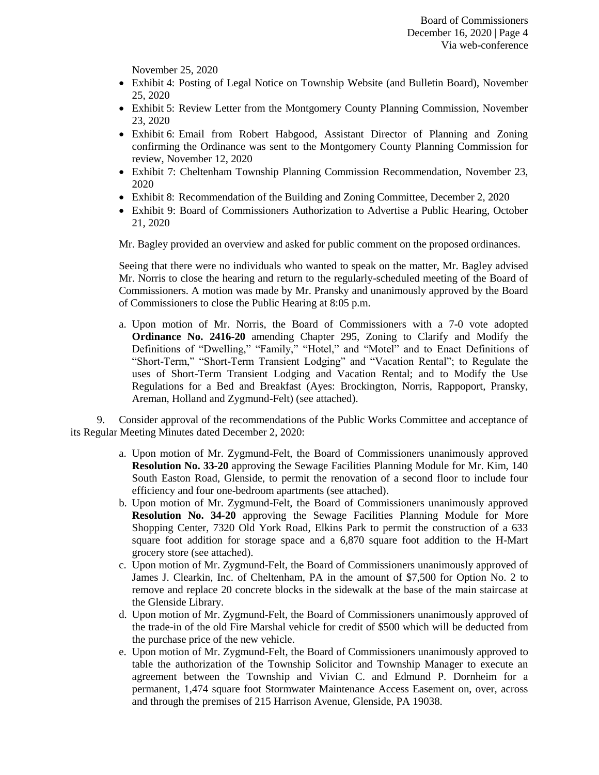November 25, 2020

- Exhibit 4: Posting of Legal Notice on Township Website (and Bulletin Board), November 25, 2020
- Exhibit 5: Review Letter from the Montgomery County Planning Commission, November 23, 2020
- Exhibit 6: Email from Robert Habgood, Assistant Director of Planning and Zoning confirming the Ordinance was sent to the Montgomery County Planning Commission for review, November 12, 2020
- Exhibit 7: Cheltenham Township Planning Commission Recommendation, November 23, 2020
- Exhibit 8: Recommendation of the Building and Zoning Committee, December 2, 2020
- Exhibit 9: Board of Commissioners Authorization to Advertise a Public Hearing, October 21, 2020

Mr. Bagley provided an overview and asked for public comment on the proposed ordinances.

Seeing that there were no individuals who wanted to speak on the matter, Mr. Bagley advised Mr. Norris to close the hearing and return to the regularly-scheduled meeting of the Board of Commissioners. A motion was made by Mr. Pransky and unanimously approved by the Board of Commissioners to close the Public Hearing at 8:05 p.m.

a. Upon motion of Mr. Norris, the Board of Commissioners with a 7-0 vote adopted **Ordinance No. 2416-20** amending Chapter 295, Zoning to Clarify and Modify the Definitions of "Dwelling," "Family," "Hotel," and "Motel" and to Enact Definitions of "Short-Term," "Short-Term Transient Lodging" and "Vacation Rental"; to Regulate the uses of Short-Term Transient Lodging and Vacation Rental; and to Modify the Use Regulations for a Bed and Breakfast (Ayes: Brockington, Norris, Rappoport, Pransky, Areman, Holland and Zygmund-Felt) (see attached).

9. Consider approval of the recommendations of the Public Works Committee and acceptance of its Regular Meeting Minutes dated December 2, 2020:

- a. Upon motion of Mr. Zygmund-Felt, the Board of Commissioners unanimously approved **Resolution No. 33-20** approving the Sewage Facilities Planning Module for Mr. Kim, 140 South Easton Road, Glenside, to permit the renovation of a second floor to include four efficiency and four one-bedroom apartments (see attached).
- b. Upon motion of Mr. Zygmund-Felt, the Board of Commissioners unanimously approved **Resolution No. 34-20** approving the Sewage Facilities Planning Module for More Shopping Center, 7320 Old York Road, Elkins Park to permit the construction of a 633 square foot addition for storage space and a 6,870 square foot addition to the H-Mart grocery store (see attached).
- c. Upon motion of Mr. Zygmund-Felt, the Board of Commissioners unanimously approved of James J. Clearkin, Inc. of Cheltenham, PA in the amount of \$7,500 for Option No. 2 to remove and replace 20 concrete blocks in the sidewalk at the base of the main staircase at the Glenside Library.
- d. Upon motion of Mr. Zygmund-Felt, the Board of Commissioners unanimously approved of the trade-in of the old Fire Marshal vehicle for credit of \$500 which will be deducted from the purchase price of the new vehicle.
- e. Upon motion of Mr. Zygmund-Felt, the Board of Commissioners unanimously approved to table the authorization of the Township Solicitor and Township Manager to execute an agreement between the Township and Vivian C. and Edmund P. Dornheim for a permanent, 1,474 square foot Stormwater Maintenance Access Easement on, over, across and through the premises of 215 Harrison Avenue, Glenside, PA 19038.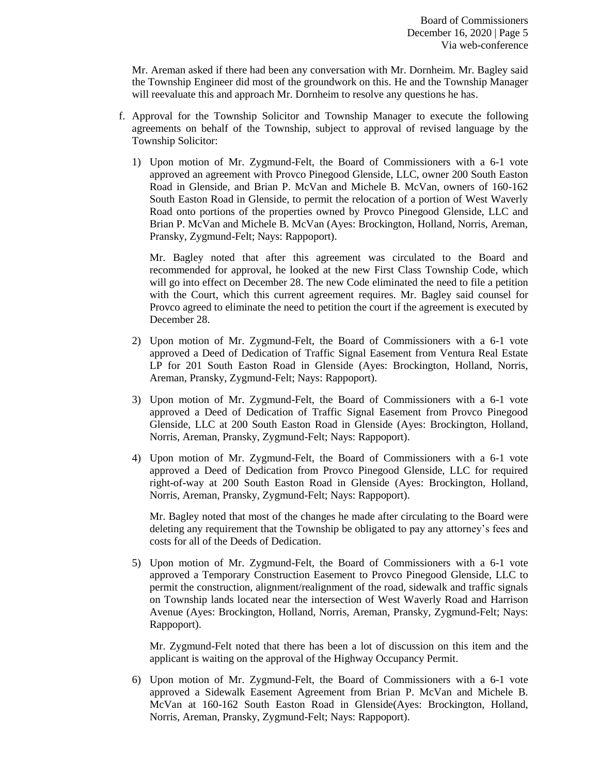Mr. Areman asked if there had been any conversation with Mr. Dornheim. Mr. Bagley said the Township Engineer did most of the groundwork on this. He and the Township Manager will reevaluate this and approach Mr. Dornheim to resolve any questions he has.

- f. Approval for the Township Solicitor and Township Manager to execute the following agreements on behalf of the Township, subject to approval of revised language by the Township Solicitor:
	- 1) Upon motion of Mr. Zygmund-Felt, the Board of Commissioners with a 6-1 vote approved an agreement with Provco Pinegood Glenside, LLC, owner 200 South Easton Road in Glenside, and Brian P. McVan and Michele B. McVan, owners of 160-162 South Easton Road in Glenside, to permit the relocation of a portion of West Waverly Road onto portions of the properties owned by Provco Pinegood Glenside, LLC and Brian P. McVan and Michele B. McVan (Ayes: Brockington, Holland, Norris, Areman, Pransky, Zygmund-Felt; Nays: Rappoport).

Mr. Bagley noted that after this agreement was circulated to the Board and recommended for approval, he looked at the new First Class Township Code, which will go into effect on December 28. The new Code eliminated the need to file a petition with the Court, which this current agreement requires. Mr. Bagley said counsel for Provco agreed to eliminate the need to petition the court if the agreement is executed by December 28.

- 2) Upon motion of Mr. Zygmund-Felt, the Board of Commissioners with a 6-1 vote approved a Deed of Dedication of Traffic Signal Easement from Ventura Real Estate LP for 201 South Easton Road in Glenside (Ayes: Brockington, Holland, Norris, Areman, Pransky, Zygmund-Felt; Nays: Rappoport).
- 3) Upon motion of Mr. Zygmund-Felt, the Board of Commissioners with a 6-1 vote approved a Deed of Dedication of Traffic Signal Easement from Provco Pinegood Glenside, LLC at 200 South Easton Road in Glenside (Ayes: Brockington, Holland, Norris, Areman, Pransky, Zygmund-Felt; Nays: Rappoport).
- 4) Upon motion of Mr. Zygmund-Felt, the Board of Commissioners with a 6-1 vote approved a Deed of Dedication from Provco Pinegood Glenside, LLC for required right-of-way at 200 South Easton Road in Glenside (Ayes: Brockington, Holland, Norris, Areman, Pransky, Zygmund-Felt; Nays: Rappoport).

Mr. Bagley noted that most of the changes he made after circulating to the Board were deleting any requirement that the Township be obligated to pay any attorney's fees and costs for all of the Deeds of Dedication.

5) Upon motion of Mr. Zygmund-Felt, the Board of Commissioners with a 6-1 vote approved a Temporary Construction Easement to Provco Pinegood Glenside, LLC to permit the construction, alignment/realignment of the road, sidewalk and traffic signals on Township lands located near the intersection of West Waverly Road and Harrison Avenue (Ayes: Brockington, Holland, Norris, Areman, Pransky, Zygmund-Felt; Nays: Rappoport).

Mr. Zygmund-Felt noted that there has been a lot of discussion on this item and the applicant is waiting on the approval of the Highway Occupancy Permit.

6) Upon motion of Mr. Zygmund-Felt, the Board of Commissioners with a 6-1 vote approved a Sidewalk Easement Agreement from Brian P. McVan and Michele B. McVan at 160-162 South Easton Road in Glenside(Ayes: Brockington, Holland, Norris, Areman, Pransky, Zygmund-Felt; Nays: Rappoport).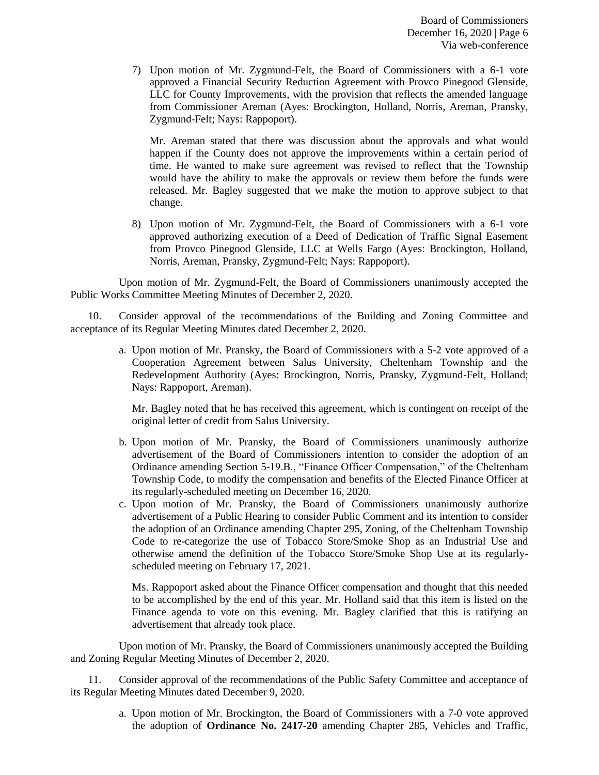7) Upon motion of Mr. Zygmund-Felt, the Board of Commissioners with a 6-1 vote approved a Financial Security Reduction Agreement with Provco Pinegood Glenside, LLC for County Improvements, with the provision that reflects the amended language from Commissioner Areman (Ayes: Brockington, Holland, Norris, Areman, Pransky, Zygmund-Felt; Nays: Rappoport).

Mr. Areman stated that there was discussion about the approvals and what would happen if the County does not approve the improvements within a certain period of time. He wanted to make sure agreement was revised to reflect that the Township would have the ability to make the approvals or review them before the funds were released. Mr. Bagley suggested that we make the motion to approve subject to that change.

8) Upon motion of Mr. Zygmund-Felt, the Board of Commissioners with a 6-1 vote approved authorizing execution of a Deed of Dedication of Traffic Signal Easement from Provco Pinegood Glenside, LLC at Wells Fargo (Ayes: Brockington, Holland, Norris, Areman, Pransky, Zygmund-Felt; Nays: Rappoport).

Upon motion of Mr. Zygmund-Felt, the Board of Commissioners unanimously accepted the Public Works Committee Meeting Minutes of December 2, 2020.

10. Consider approval of the recommendations of the Building and Zoning Committee and acceptance of its Regular Meeting Minutes dated December 2, 2020.

> a. Upon motion of Mr. Pransky, the Board of Commissioners with a 5-2 vote approved of a Cooperation Agreement between Salus University, Cheltenham Township and the Redevelopment Authority (Ayes: Brockington, Norris, Pransky, Zygmund-Felt, Holland; Nays: Rappoport, Areman).

Mr. Bagley noted that he has received this agreement, which is contingent on receipt of the original letter of credit from Salus University.

- b. Upon motion of Mr. Pransky, the Board of Commissioners unanimously authorize advertisement of the Board of Commissioners intention to consider the adoption of an Ordinance amending Section 5-19.B., "Finance Officer Compensation," of the Cheltenham Township Code, to modify the compensation and benefits of the Elected Finance Officer at its regularly-scheduled meeting on December 16, 2020.
- c. Upon motion of Mr. Pransky, the Board of Commissioners unanimously authorize advertisement of a Public Hearing to consider Public Comment and its intention to consider the adoption of an Ordinance amending Chapter 295, Zoning, of the Cheltenham Township Code to re-categorize the use of Tobacco Store/Smoke Shop as an Industrial Use and otherwise amend the definition of the Tobacco Store/Smoke Shop Use at its regularlyscheduled meeting on February 17, 2021.

Ms. Rappoport asked about the Finance Officer compensation and thought that this needed to be accomplished by the end of this year. Mr. Holland said that this item is listed on the Finance agenda to vote on this evening. Mr. Bagley clarified that this is ratifying an advertisement that already took place.

Upon motion of Mr. Pransky, the Board of Commissioners unanimously accepted the Building and Zoning Regular Meeting Minutes of December 2, 2020.

11. Consider approval of the recommendations of the Public Safety Committee and acceptance of its Regular Meeting Minutes dated December 9, 2020.

> a. Upon motion of Mr. Brockington, the Board of Commissioners with a 7-0 vote approved the adoption of **Ordinance No. 2417-20** amending Chapter 285, Vehicles and Traffic,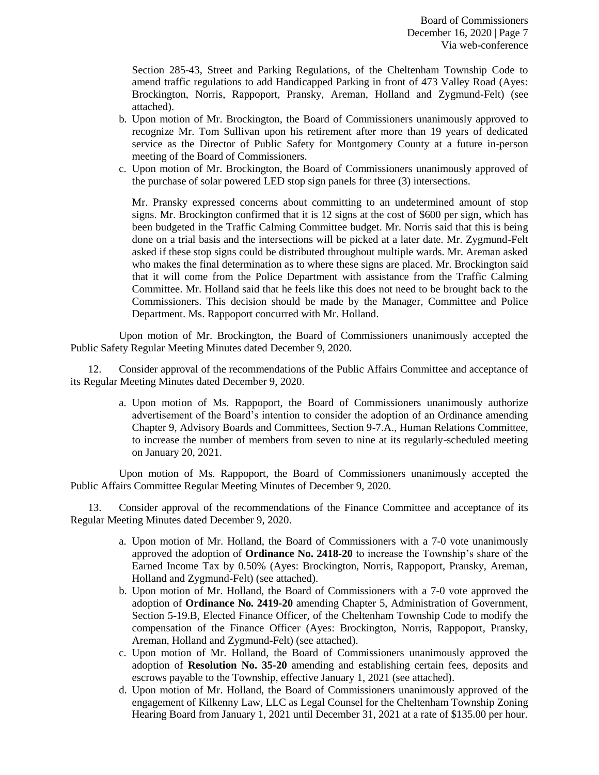Section 285-43, Street and Parking Regulations, of the Cheltenham Township Code to amend traffic regulations to add Handicapped Parking in front of 473 Valley Road (Ayes: Brockington, Norris, Rappoport, Pransky, Areman, Holland and Zygmund-Felt) (see attached).

- b. Upon motion of Mr. Brockington, the Board of Commissioners unanimously approved to recognize Mr. Tom Sullivan upon his retirement after more than 19 years of dedicated service as the Director of Public Safety for Montgomery County at a future in-person meeting of the Board of Commissioners.
- c. Upon motion of Mr. Brockington, the Board of Commissioners unanimously approved of the purchase of solar powered LED stop sign panels for three (3) intersections.

Mr. Pransky expressed concerns about committing to an undetermined amount of stop signs. Mr. Brockington confirmed that it is 12 signs at the cost of \$600 per sign, which has been budgeted in the Traffic Calming Committee budget. Mr. Norris said that this is being done on a trial basis and the intersections will be picked at a later date. Mr. Zygmund-Felt asked if these stop signs could be distributed throughout multiple wards. Mr. Areman asked who makes the final determination as to where these signs are placed. Mr. Brockington said that it will come from the Police Department with assistance from the Traffic Calming Committee. Mr. Holland said that he feels like this does not need to be brought back to the Commissioners. This decision should be made by the Manager, Committee and Police Department. Ms. Rappoport concurred with Mr. Holland.

Upon motion of Mr. Brockington, the Board of Commissioners unanimously accepted the Public Safety Regular Meeting Minutes dated December 9, 2020.

12. Consider approval of the recommendations of the Public Affairs Committee and acceptance of its Regular Meeting Minutes dated December 9, 2020.

> a. Upon motion of Ms. Rappoport, the Board of Commissioners unanimously authorize advertisement of the Board's intention to consider the adoption of an Ordinance amending Chapter 9, Advisory Boards and Committees, Section 9-7.A., Human Relations Committee, to increase the number of members from seven to nine at its regularly-scheduled meeting on January 20, 2021.

Upon motion of Ms. Rappoport, the Board of Commissioners unanimously accepted the Public Affairs Committee Regular Meeting Minutes of December 9, 2020.

13. Consider approval of the recommendations of the Finance Committee and acceptance of its Regular Meeting Minutes dated December 9, 2020.

- a. Upon motion of Mr. Holland, the Board of Commissioners with a 7-0 vote unanimously approved the adoption of **Ordinance No. 2418-20** to increase the Township's share of the Earned Income Tax by 0.50% (Ayes: Brockington, Norris, Rappoport, Pransky, Areman, Holland and Zygmund-Felt) (see attached).
- b. Upon motion of Mr. Holland, the Board of Commissioners with a 7-0 vote approved the adoption of **Ordinance No. 2419-20** amending Chapter 5, Administration of Government, Section 5-19.B, Elected Finance Officer, of the Cheltenham Township Code to modify the compensation of the Finance Officer (Ayes: Brockington, Norris, Rappoport, Pransky, Areman, Holland and Zygmund-Felt) (see attached).
- c. Upon motion of Mr. Holland, the Board of Commissioners unanimously approved the adoption of **Resolution No. 35-20** amending and establishing certain fees, deposits and escrows payable to the Township, effective January 1, 2021 (see attached).
- d. Upon motion of Mr. Holland, the Board of Commissioners unanimously approved of the engagement of Kilkenny Law, LLC as Legal Counsel for the Cheltenham Township Zoning Hearing Board from January 1, 2021 until December 31, 2021 at a rate of \$135.00 per hour.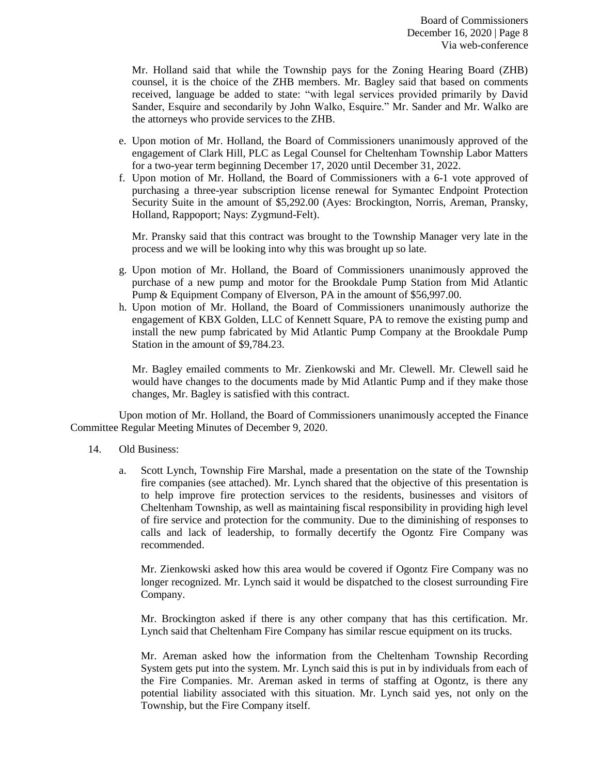Mr. Holland said that while the Township pays for the Zoning Hearing Board (ZHB) counsel, it is the choice of the ZHB members. Mr. Bagley said that based on comments received, language be added to state: "with legal services provided primarily by David Sander, Esquire and secondarily by John Walko, Esquire." Mr. Sander and Mr. Walko are the attorneys who provide services to the ZHB.

- e. Upon motion of Mr. Holland, the Board of Commissioners unanimously approved of the engagement of Clark Hill, PLC as Legal Counsel for Cheltenham Township Labor Matters for a two-year term beginning December 17, 2020 until December 31, 2022.
- f. Upon motion of Mr. Holland, the Board of Commissioners with a 6-1 vote approved of purchasing a three-year subscription license renewal for Symantec Endpoint Protection Security Suite in the amount of \$5,292.00 (Ayes: Brockington, Norris, Areman, Pransky, Holland, Rappoport; Nays: Zygmund-Felt).

Mr. Pransky said that this contract was brought to the Township Manager very late in the process and we will be looking into why this was brought up so late.

- g. Upon motion of Mr. Holland, the Board of Commissioners unanimously approved the purchase of a new pump and motor for the Brookdale Pump Station from Mid Atlantic Pump & Equipment Company of Elverson, PA in the amount of \$56,997.00.
- h. Upon motion of Mr. Holland, the Board of Commissioners unanimously authorize the engagement of KBX Golden, LLC of Kennett Square, PA to remove the existing pump and install the new pump fabricated by Mid Atlantic Pump Company at the Brookdale Pump Station in the amount of \$9,784.23.

Mr. Bagley emailed comments to Mr. Zienkowski and Mr. Clewell. Mr. Clewell said he would have changes to the documents made by Mid Atlantic Pump and if they make those changes, Mr. Bagley is satisfied with this contract.

Upon motion of Mr. Holland, the Board of Commissioners unanimously accepted the Finance Committee Regular Meeting Minutes of December 9, 2020.

- 14. Old Business:
	- a. Scott Lynch, Township Fire Marshal, made a presentation on the state of the Township fire companies (see attached). Mr. Lynch shared that the objective of this presentation is to help improve fire protection services to the residents, businesses and visitors of Cheltenham Township, as well as maintaining fiscal responsibility in providing high level of fire service and protection for the community. Due to the diminishing of responses to calls and lack of leadership, to formally decertify the Ogontz Fire Company was recommended.

Mr. Zienkowski asked how this area would be covered if Ogontz Fire Company was no longer recognized. Mr. Lynch said it would be dispatched to the closest surrounding Fire Company.

Mr. Brockington asked if there is any other company that has this certification. Mr. Lynch said that Cheltenham Fire Company has similar rescue equipment on its trucks.

Mr. Areman asked how the information from the Cheltenham Township Recording System gets put into the system. Mr. Lynch said this is put in by individuals from each of the Fire Companies. Mr. Areman asked in terms of staffing at Ogontz, is there any potential liability associated with this situation. Mr. Lynch said yes, not only on the Township, but the Fire Company itself.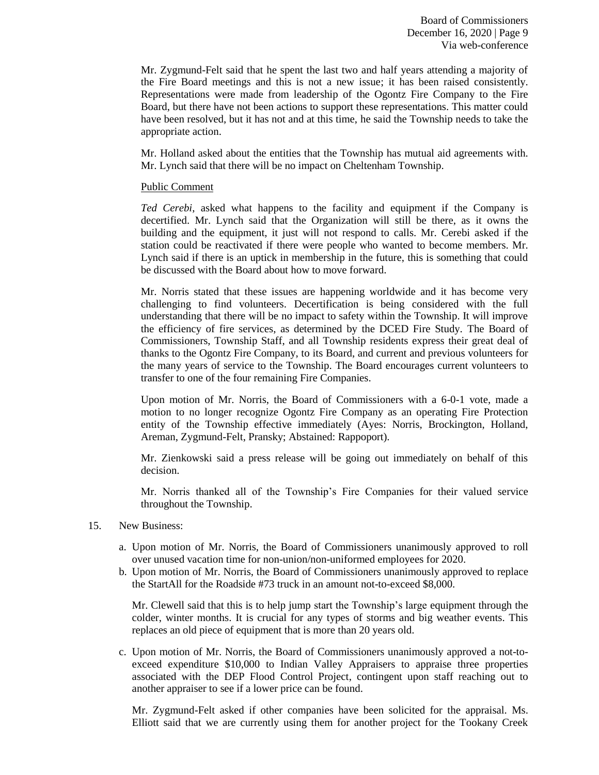Mr. Zygmund-Felt said that he spent the last two and half years attending a majority of the Fire Board meetings and this is not a new issue; it has been raised consistently. Representations were made from leadership of the Ogontz Fire Company to the Fire Board, but there have not been actions to support these representations. This matter could have been resolved, but it has not and at this time, he said the Township needs to take the appropriate action.

Mr. Holland asked about the entities that the Township has mutual aid agreements with. Mr. Lynch said that there will be no impact on Cheltenham Township.

# Public Comment

*Ted Cerebi*, asked what happens to the facility and equipment if the Company is decertified. Mr. Lynch said that the Organization will still be there, as it owns the building and the equipment, it just will not respond to calls. Mr. Cerebi asked if the station could be reactivated if there were people who wanted to become members. Mr. Lynch said if there is an uptick in membership in the future, this is something that could be discussed with the Board about how to move forward.

Mr. Norris stated that these issues are happening worldwide and it has become very challenging to find volunteers. Decertification is being considered with the full understanding that there will be no impact to safety within the Township. It will improve the efficiency of fire services, as determined by the DCED Fire Study. The Board of Commissioners, Township Staff, and all Township residents express their great deal of thanks to the Ogontz Fire Company, to its Board, and current and previous volunteers for the many years of service to the Township. The Board encourages current volunteers to transfer to one of the four remaining Fire Companies.

Upon motion of Mr. Norris, the Board of Commissioners with a 6-0-1 vote, made a motion to no longer recognize Ogontz Fire Company as an operating Fire Protection entity of the Township effective immediately (Ayes: Norris, Brockington, Holland, Areman, Zygmund-Felt, Pransky; Abstained: Rappoport).

Mr. Zienkowski said a press release will be going out immediately on behalf of this decision.

Mr. Norris thanked all of the Township's Fire Companies for their valued service throughout the Township.

- 15. New Business:
	- a. Upon motion of Mr. Norris, the Board of Commissioners unanimously approved to roll over unused vacation time for non-union/non-uniformed employees for 2020.
	- b. Upon motion of Mr. Norris, the Board of Commissioners unanimously approved to replace the StartAll for the Roadside #73 truck in an amount not-to-exceed \$8,000.

Mr. Clewell said that this is to help jump start the Township's large equipment through the colder, winter months. It is crucial for any types of storms and big weather events. This replaces an old piece of equipment that is more than 20 years old.

c. Upon motion of Mr. Norris, the Board of Commissioners unanimously approved a not-toexceed expenditure \$10,000 to Indian Valley Appraisers to appraise three properties associated with the DEP Flood Control Project, contingent upon staff reaching out to another appraiser to see if a lower price can be found.

Mr. Zygmund-Felt asked if other companies have been solicited for the appraisal. Ms. Elliott said that we are currently using them for another project for the Tookany Creek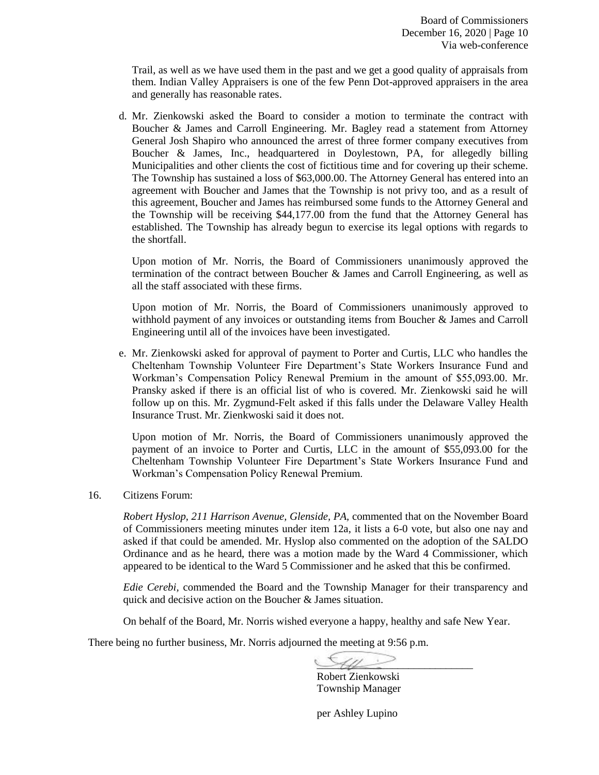Trail, as well as we have used them in the past and we get a good quality of appraisals from them. Indian Valley Appraisers is one of the few Penn Dot-approved appraisers in the area and generally has reasonable rates.

d. Mr. Zienkowski asked the Board to consider a motion to terminate the contract with Boucher & James and Carroll Engineering. Mr. Bagley read a statement from Attorney General Josh Shapiro who announced the arrest of three former company executives from Boucher & James, Inc., headquartered in Doylestown, PA, for allegedly billing Municipalities and other clients the cost of fictitious time and for covering up their scheme. The Township has sustained a loss of \$63,000.00. The Attorney General has entered into an agreement with Boucher and James that the Township is not privy too, and as a result of this agreement, Boucher and James has reimbursed some funds to the Attorney General and the Township will be receiving \$44,177.00 from the fund that the Attorney General has established. The Township has already begun to exercise its legal options with regards to the shortfall.

Upon motion of Mr. Norris, the Board of Commissioners unanimously approved the termination of the contract between Boucher & James and Carroll Engineering, as well as all the staff associated with these firms.

Upon motion of Mr. Norris, the Board of Commissioners unanimously approved to withhold payment of any invoices or outstanding items from Boucher & James and Carroll Engineering until all of the invoices have been investigated.

e. Mr. Zienkowski asked for approval of payment to Porter and Curtis, LLC who handles the Cheltenham Township Volunteer Fire Department's State Workers Insurance Fund and Workman's Compensation Policy Renewal Premium in the amount of \$55,093.00. Mr. Pransky asked if there is an official list of who is covered. Mr. Zienkowski said he will follow up on this. Mr. Zygmund-Felt asked if this falls under the Delaware Valley Health Insurance Trust. Mr. Zienkwoski said it does not.

Upon motion of Mr. Norris, the Board of Commissioners unanimously approved the payment of an invoice to Porter and Curtis, LLC in the amount of \$55,093.00 for the Cheltenham Township Volunteer Fire Department's State Workers Insurance Fund and Workman's Compensation Policy Renewal Premium.

16. Citizens Forum:

*Robert Hyslop, 211 Harrison Avenue, Glenside, PA,* commented that on the November Board of Commissioners meeting minutes under item 12a, it lists a 6-0 vote, but also one nay and asked if that could be amended. Mr. Hyslop also commented on the adoption of the SALDO Ordinance and as he heard, there was a motion made by the Ward 4 Commissioner, which appeared to be identical to the Ward 5 Commissioner and he asked that this be confirmed.

*Edie Cerebi,* commended the Board and the Township Manager for their transparency and quick and decisive action on the Boucher & James situation.

On behalf of the Board, Mr. Norris wished everyone a happy, healthy and safe New Year.

There being no further business, Mr. Norris adjourned the meeting at 9:56 p.m.

 $\mathcal{A}\mathcal{U}$ 

Robert Zienkowski Township Manager

per Ashley Lupino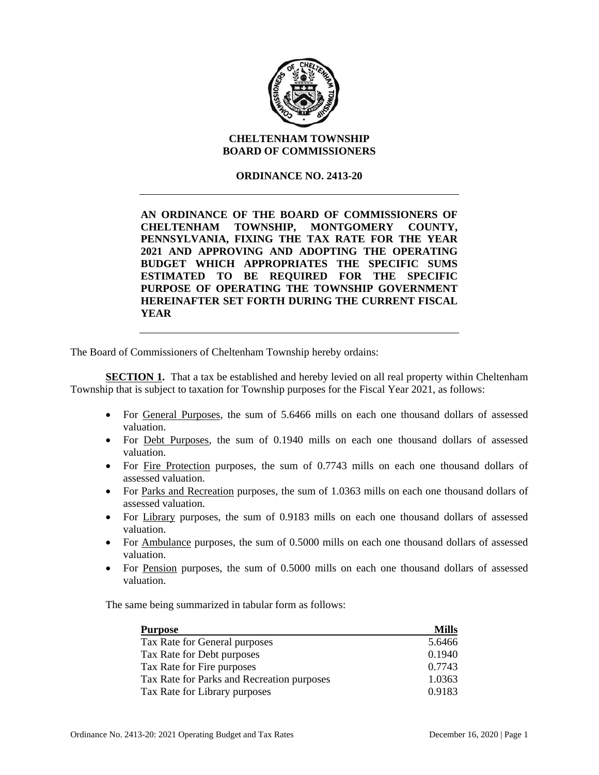

# **CHELTENHAM TOWNSHIP BOARD OF COMMISSIONERS**

# **ORDINANCE NO. 2413-20**

**AN ORDINANCE OF THE BOARD OF COMMISSIONERS OF CHELTENHAM TOWNSHIP, MONTGOMERY COUNTY, PENNSYLVANIA, FIXING THE TAX RATE FOR THE YEAR 2021 AND APPROVING AND ADOPTING THE OPERATING BUDGET WHICH APPROPRIATES THE SPECIFIC SUMS ESTIMATED TO BE REQUIRED FOR THE SPECIFIC PURPOSE OF OPERATING THE TOWNSHIP GOVERNMENT HEREINAFTER SET FORTH DURING THE CURRENT FISCAL YEAR** 

The Board of Commissioners of Cheltenham Township hereby ordains:

**SECTION 1.** That a tax be established and hereby levied on all real property within Cheltenham Township that is subject to taxation for Township purposes for the Fiscal Year 2021, as follows:

- For General Purposes, the sum of 5.6466 mills on each one thousand dollars of assessed valuation.
- For Debt Purposes, the sum of 0.1940 mills on each one thousand dollars of assessed valuation.
- For Fire Protection purposes, the sum of 0.7743 mills on each one thousand dollars of assessed valuation.
- For Parks and Recreation purposes, the sum of 1.0363 mills on each one thousand dollars of assessed valuation.
- For Library purposes, the sum of 0.9183 mills on each one thousand dollars of assessed valuation.
- For Ambulance purposes, the sum of 0.5000 mills on each one thousand dollars of assessed valuation.
- For Pension purposes, the sum of 0.5000 mills on each one thousand dollars of assessed valuation.

The same being summarized in tabular form as follows:

| <b>Purpose</b>                             | <b>Mills</b> |
|--------------------------------------------|--------------|
| Tax Rate for General purposes              | 5.6466       |
| Tax Rate for Debt purposes                 | 0.1940       |
| Tax Rate for Fire purposes                 | 0.7743       |
| Tax Rate for Parks and Recreation purposes | 1.0363       |
| Tax Rate for Library purposes              | 0.9183       |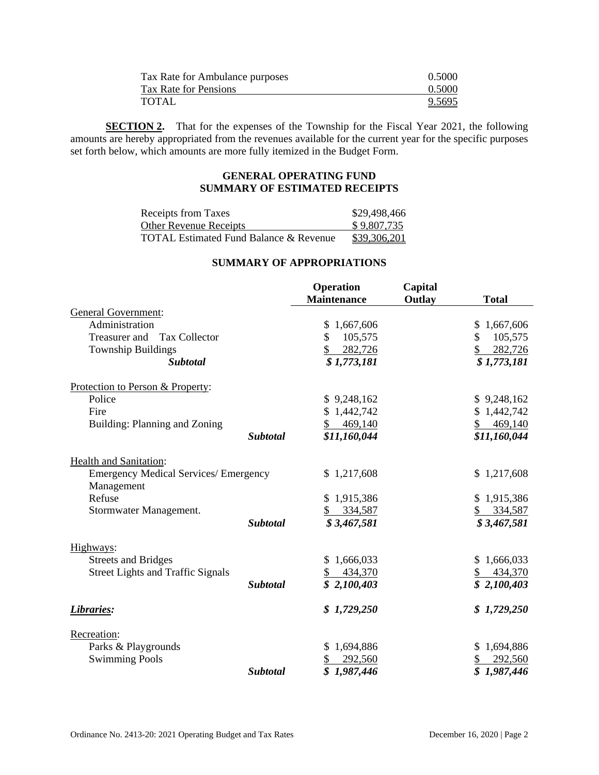| Tax Rate for Ambulance purposes | 0.5000 |
|---------------------------------|--------|
| Tax Rate for Pensions           | 0.5000 |
| TOTAL                           | 9.5695 |

**SECTION 2.** That for the expenses of the Township for the Fiscal Year 2021, the following amounts are hereby appropriated from the revenues available for the current year for the specific purposes set forth below, which amounts are more fully itemized in the Budget Form.

# **GENERAL OPERATING FUND SUMMARY OF ESTIMATED RECEIPTS**

| Receipts from Taxes                               | \$29,498,466 |
|---------------------------------------------------|--------------|
| <b>Other Revenue Receipts</b>                     | \$9,807,735  |
| <b>TOTAL Estimated Fund Balance &amp; Revenue</b> | \$39,306,201 |

## **SUMMARY OF APPROPRIATIONS**

|                                              |                 | <b>Operation</b>   | Capital |               |
|----------------------------------------------|-----------------|--------------------|---------|---------------|
|                                              |                 | <b>Maintenance</b> | Outlay  | <b>Total</b>  |
| <b>General Government:</b>                   |                 |                    |         |               |
| Administration                               |                 | 1,667,606<br>S     |         | \$1,667,606   |
| <b>Tax Collector</b><br>Treasurer and        |                 | \$<br>105,575      |         | 105,575<br>\$ |
| <b>Township Buildings</b>                    |                 | 282,726            |         | 282,726       |
| <b>Subtotal</b>                              |                 | \$1,773,181        |         | \$1,773,181   |
| Protection to Person & Property:             |                 |                    |         |               |
| Police                                       |                 | \$9,248,162        |         | \$9,248,162   |
| Fire                                         |                 | \$1,442,742        |         | \$1,442,742   |
| Building: Planning and Zoning                |                 | 469,140            |         | 469,140       |
|                                              | <b>Subtotal</b> | \$11,160,044       |         | \$11,160,044  |
| <b>Health and Sanitation:</b>                |                 |                    |         |               |
| <b>Emergency Medical Services/ Emergency</b> |                 | \$1,217,608        |         | \$1,217,608   |
| Management                                   |                 |                    |         |               |
| Refuse                                       |                 | \$1,915,386        |         | \$1,915,386   |
| Stormwater Management.                       |                 | 334,587            |         | 334,587       |
|                                              | <b>Subtotal</b> | \$3,467,581        |         | \$3,467,581   |
| Highways:                                    |                 |                    |         |               |
| <b>Streets and Bridges</b>                   |                 | \$1,666,033        |         | \$1,666,033   |
| <b>Street Lights and Traffic Signals</b>     |                 | 434,370            |         | 434,370       |
|                                              | <b>Subtotal</b> | \$2,100,403        |         | \$2,100,403   |
| Libraries:                                   |                 | \$1,729,250        |         | \$1,729,250   |
| Recreation:                                  |                 |                    |         |               |
| Parks & Playgrounds                          |                 | 1,694,886          |         | \$1,694,886   |
| <b>Swimming Pools</b>                        |                 | 292,560<br>\$      |         | 292,560       |
|                                              | <b>Subtotal</b> | \$<br>1,987,446    |         | \$1,987,446   |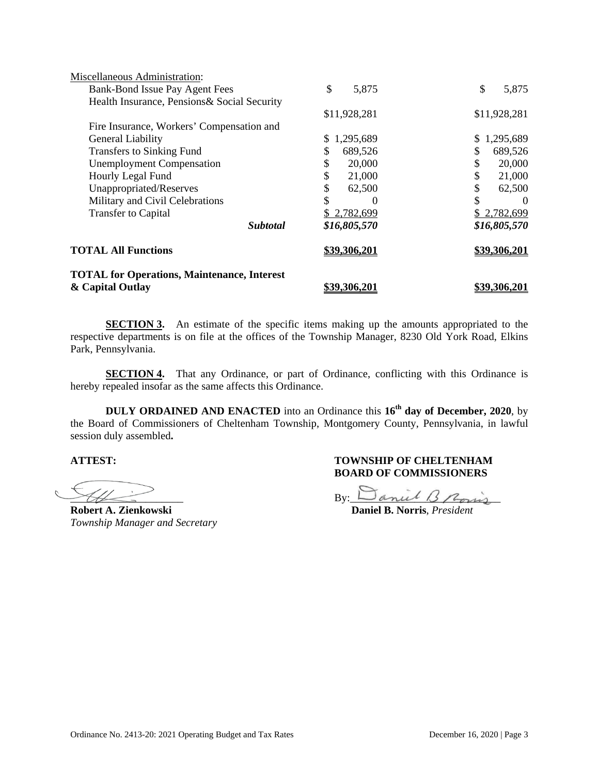| <b>TOTAL for Operations, Maintenance, Interest</b><br>& Capital Outlay | <u>\$39,306,201</u> | <u>\$39.306.201</u> |
|------------------------------------------------------------------------|---------------------|---------------------|
| <b>TOTAL All Functions</b>                                             | \$39,306,201        | \$39,306,201        |
| <b>Subtotal</b>                                                        | \$16,805,570        | \$16,805,570        |
| <b>Transfer to Capital</b>                                             | 2,782,699           | \$2,782,699         |
| Military and Civil Celebrations                                        | \$<br>$\theta$      | \$<br>0             |
| Unappropriated/Reserves                                                | \$<br>62,500        | \$<br>62,500        |
| Hourly Legal Fund                                                      | 21,000              | \$<br>21,000        |
| <b>Unemployment Compensation</b>                                       | 20,000              | \$<br>20,000        |
| Transfers to Sinking Fund                                              | S<br>689,526        | S<br>689,526        |
| General Liability                                                      | 1,295,689<br>S      | 1,295,689           |
| Fire Insurance, Workers' Compensation and                              |                     |                     |
|                                                                        | \$11,928,281        | \$11,928,281        |
| Health Insurance, Pensions& Social Security                            |                     |                     |
| Bank-Bond Issue Pay Agent Fees                                         | \$<br>5,875         | \$<br>5,875         |
| Miscellaneous Administration:                                          |                     |                     |

**SECTION 3.** An estimate of the specific items making up the amounts appropriated to the respective departments is on file at the offices of the Township Manager, 8230 Old York Road, Elkins Park, Pennsylvania.

**SECTION 4.** That any Ordinance, or part of Ordinance, conflicting with this Ordinance is hereby repealed insofar as the same affects this Ordinance.

**DULY ORDAINED AND ENACTED** into an Ordinance this **16th day of December, 2020**, by the Board of Commissioners of Cheltenham Township, Montgomery County, Pennsylvania, in lawful session duly assembled**.**

 $\overline{\phantom{a}}$ 

**Robert A. Zienkowski Daniel B. Norris**, *President Township Manager and Secretary* 

 $By:$  Daniel B Roins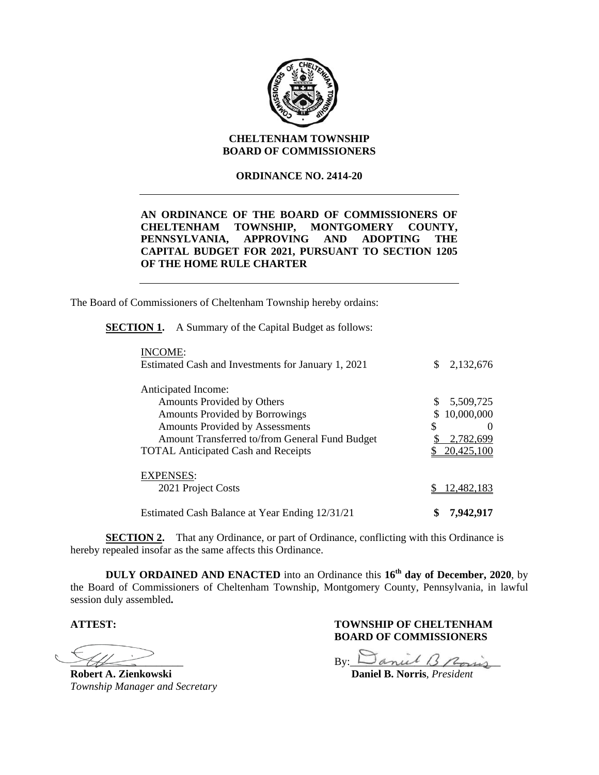

# **CHELTENHAM TOWNSHIP BOARD OF COMMISSIONERS**

### **ORDINANCE NO. 2414-20**

# **AN ORDINANCE OF THE BOARD OF COMMISSIONERS OF CHELTENHAM TOWNSHIP, MONTGOMERY COUNTY, PENNSYLVANIA, APPROVING AND ADOPTING THE CAPITAL BUDGET FOR 2021, PURSUANT TO SECTION 1205 OF THE HOME RULE CHARTER**

The Board of Commissioners of Cheltenham Township hereby ordains:

**SECTION 1.** A Summary of the Capital Budget as follows:

| INCOME:                                            |                  |
|----------------------------------------------------|------------------|
| Estimated Cash and Investments for January 1, 2021 | \$.<br>2,132,676 |
| Anticipated Income:                                |                  |
| Amounts Provided by Others                         | \$<br>5,509,725  |
| <b>Amounts Provided by Borrowings</b>              | 10,000,000<br>S  |
| <b>Amounts Provided by Assessments</b>             | \$               |
| Amount Transferred to/from General Fund Budget     | 2,782,699        |
| <b>TOTAL Anticipated Cash and Receipts</b>         | 20,425,100       |
| <b>EXPENSES:</b>                                   |                  |
| 2021 Project Costs                                 | 12,482,183       |
|                                                    |                  |
| Estimated Cash Balance at Year Ending 12/31/21     | \$<br>7,942,917  |

**SECTION 2.** That any Ordinance, or part of Ordinance, conflicting with this Ordinance is hereby repealed insofar as the same affects this Ordinance.

**DULY ORDAINED AND ENACTED** into an Ordinance this **16th day of December, 2020**, by the Board of Commissioners of Cheltenham Township, Montgomery County, Pennsylvania, in lawful session duly assembled**.**

 $\overline{\phantom{a}}$ 

**Robert A. Zienkowski Daniel B. Norris**, *President Township Manager and Secretary* 

 $By:  $\Box$  and  $\Box$  from  $\Box$$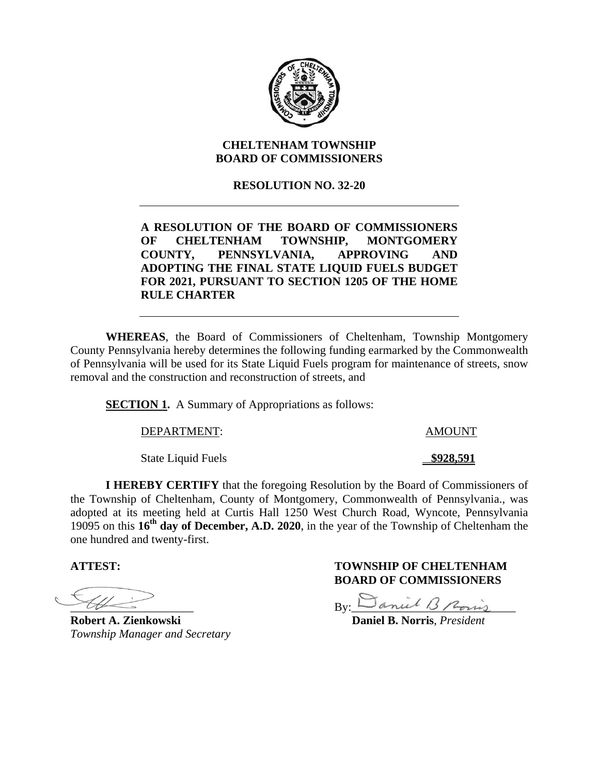

# **CHELTENHAM TOWNSHIP BOARD OF COMMISSIONERS**

# **RESOLUTION NO. 32-20**

# **A RESOLUTION OF THE BOARD OF COMMISSIONERS OF CHELTENHAM TOWNSHIP, MONTGOMERY COUNTY, PENNSYLVANIA, APPROVING AND ADOPTING THE FINAL STATE LIQUID FUELS BUDGET FOR 2021, PURSUANT TO SECTION 1205 OF THE HOME RULE CHARTER**

**WHEREAS**, the Board of Commissioners of Cheltenham, Township Montgomery County Pennsylvania hereby determines the following funding earmarked by the Commonwealth of Pennsylvania will be used for its State Liquid Fuels program for maintenance of streets, snow removal and the construction and reconstruction of streets, and

**SECTION 1.** A Summary of Appropriations as follows:

DEPARTMENT: AMOUNT

State Liquid Fuels **\$928.591** 

**I HEREBY CERTIFY** that the foregoing Resolution by the Board of Commissioners of the Township of Cheltenham, County of Montgomery, Commonwealth of Pennsylvania., was adopted at its meeting held at Curtis Hall 1250 West Church Road, Wyncote, Pennsylvania 19095 on this **16th day of December, A.D. 2020**, in the year of the Township of Cheltenham the one hundred and twenty-first.

 $\overline{\phantom{a}}$ 

**Robert A. Zienkowski Daniel B. Norris**, *President Township Manager and Secretary* 

 $By:$  Saniel B Pois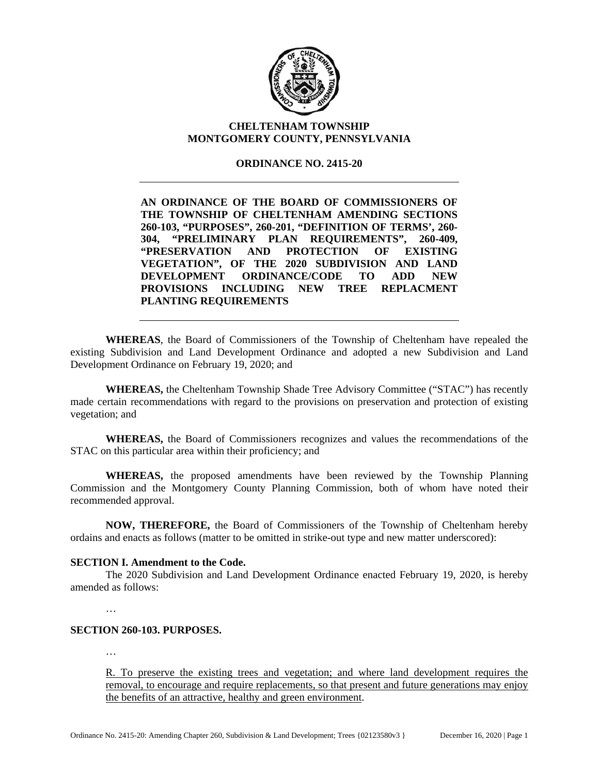

# **CHELTENHAM TOWNSHIP MONTGOMERY COUNTY, PENNSYLVANIA**

# **ORDINANCE NO. 2415-20**

**AN ORDINANCE OF THE BOARD OF COMMISSIONERS OF THE TOWNSHIP OF CHELTENHAM AMENDING SECTIONS 260-103, "PURPOSES", 260-201, "DEFINITION OF TERMS', 260- 304, "PRELIMINARY PLAN REQUIREMENTS", 260-409, "PRESERVATION AND PROTECTION OF EXISTING VEGETATION", OF THE 2020 SUBDIVISION AND LAND DEVELOPMENT ORDINANCE/CODE TO ADD NEW PROVISIONS INCLUDING NEW TREE REPLACMENT PLANTING REQUIREMENTS** 

**WHEREAS**, the Board of Commissioners of the Township of Cheltenham have repealed the existing Subdivision and Land Development Ordinance and adopted a new Subdivision and Land Development Ordinance on February 19, 2020; and

**WHEREAS,** the Cheltenham Township Shade Tree Advisory Committee ("STAC") has recently made certain recommendations with regard to the provisions on preservation and protection of existing vegetation; and

**WHEREAS,** the Board of Commissioners recognizes and values the recommendations of the STAC on this particular area within their proficiency; and

**WHEREAS,** the proposed amendments have been reviewed by the Township Planning Commission and the Montgomery County Planning Commission, both of whom have noted their recommended approval.

**NOW, THEREFORE,** the Board of Commissioners of the Township of Cheltenham hereby ordains and enacts as follows (matter to be omitted in strike-out type and new matter underscored):

### **SECTION I. Amendment to the Code.**

The 2020 Subdivision and Land Development Ordinance enacted February 19, 2020, is hereby amended as follows:

…

# **SECTION 260-103. PURPOSES.**

…

R. To preserve the existing trees and vegetation; and where land development requires the removal, to encourage and require replacements, so that present and future generations may enjoy the benefits of an attractive, healthy and green environment.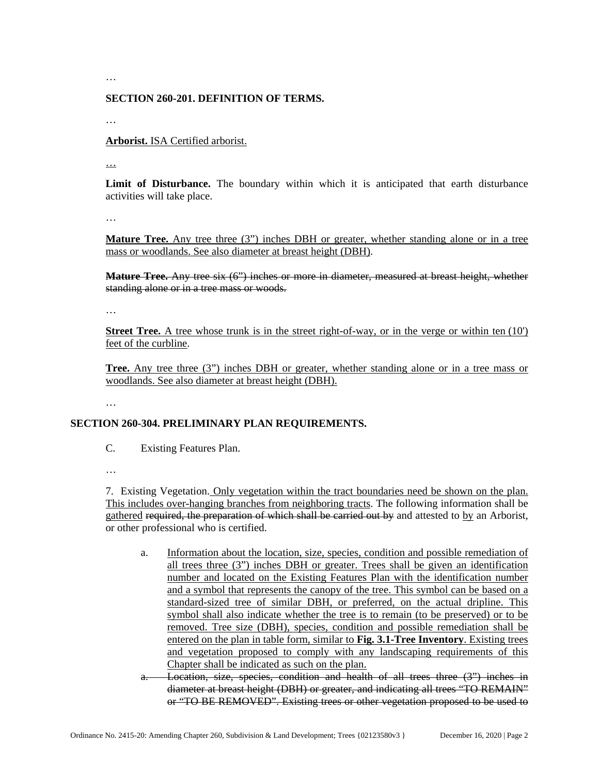…

#### **SECTION 260-201. DEFINITION OF TERMS.**

…

**Arborist.** ISA Certified arborist.

…

**Limit of Disturbance.** The boundary within which it is anticipated that earth disturbance activities will take place.

…

**Mature Tree.** Any tree three (3") inches DBH or greater, whether standing alone or in a tree mass or woodlands. See also diameter at breast height (DBH).

**Mature Tree.** Any tree six (6") inches or more in diameter, measured at breast height, whether standing alone or in a tree mass or woods.

…

**Street Tree.** A tree whose trunk is in the street right-of-way, or in the verge or within ten (10') feet of the curbline.

**Tree.** Any tree three (3") inches DBH or greater, whether standing alone or in a tree mass or woodlands. See also diameter at breast height (DBH).

…

### **SECTION 260-304. PRELIMINARY PLAN REQUIREMENTS.**

C. Existing Features Plan.

…

7. Existing Vegetation. Only vegetation within the tract boundaries need be shown on the plan. This includes over-hanging branches from neighboring tracts. The following information shall be gathered required, the preparation of which shall be carried out by and attested to by an Arborist, or other professional who is certified.

- a. Information about the location, size, species, condition and possible remediation of all trees three (3") inches DBH or greater. Trees shall be given an identification number and located on the Existing Features Plan with the identification number and a symbol that represents the canopy of the tree. This symbol can be based on a standard-sized tree of similar DBH, or preferred, on the actual dripline. This symbol shall also indicate whether the tree is to remain (to be preserved) or to be removed. Tree size (DBH), species, condition and possible remediation shall be entered on the plan in table form, similar to **Fig. 3.1-Tree Inventory**. Existing trees and vegetation proposed to comply with any landscaping requirements of this Chapter shall be indicated as such on the plan.
- a. Location, size, species, condition and health of all trees three (3") inches in diameter at breast height (DBH) or greater, and indicating all trees "TO REMAIN" or "TO BE REMOVED". Existing trees or other vegetation proposed to be used to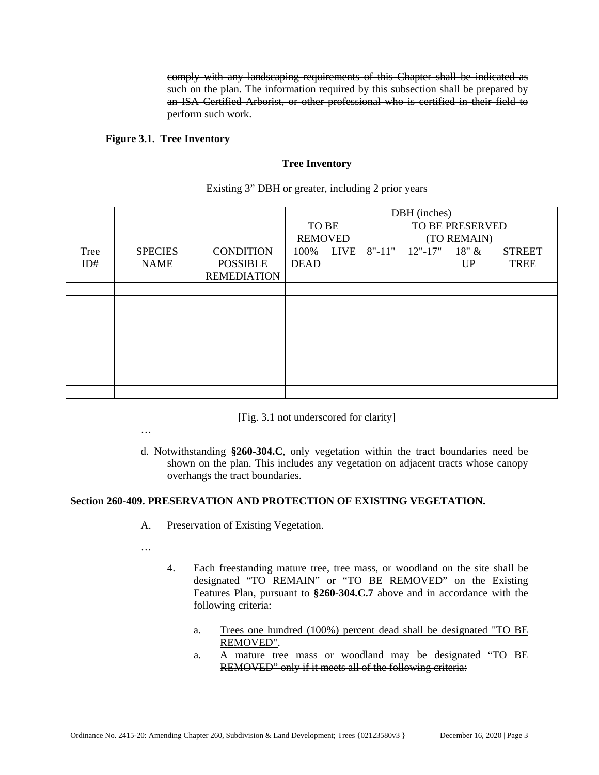comply with any landscaping requirements of this Chapter shall be indicated as such on the plan. The information required by this subsection shall be prepared by an ISA Certified Arborist, or other professional who is certified in their field to perform such work.

### **Figure 3.1. Tree Inventory**

#### **Tree Inventory**

|      |                |                    | DBH (inches)   |             |            |                 |             |               |  |
|------|----------------|--------------------|----------------|-------------|------------|-----------------|-------------|---------------|--|
|      |                |                    |                | TO BE       |            | TO BE PRESERVED |             |               |  |
|      |                |                    | <b>REMOVED</b> |             |            |                 | (TO REMAIN) |               |  |
| Tree | <b>SPECIES</b> | <b>CONDITION</b>   | 100%           | <b>LIVE</b> | $8" - 11"$ | $12" - 17"$     | $18"$ &     | <b>STREET</b> |  |
| ID#  | <b>NAME</b>    | <b>POSSIBLE</b>    | <b>DEAD</b>    |             |            |                 | <b>UP</b>   | <b>TREE</b>   |  |
|      |                | <b>REMEDIATION</b> |                |             |            |                 |             |               |  |
|      |                |                    |                |             |            |                 |             |               |  |
|      |                |                    |                |             |            |                 |             |               |  |
|      |                |                    |                |             |            |                 |             |               |  |
|      |                |                    |                |             |            |                 |             |               |  |
|      |                |                    |                |             |            |                 |             |               |  |
|      |                |                    |                |             |            |                 |             |               |  |
|      |                |                    |                |             |            |                 |             |               |  |
|      |                |                    |                |             |            |                 |             |               |  |
|      |                |                    |                |             |            |                 |             |               |  |

Existing 3" DBH or greater, including 2 prior years

[Fig. 3.1 not underscored for clarity]

- …
- d. Notwithstanding **§260-304.C**, only vegetation within the tract boundaries need be shown on the plan. This includes any vegetation on adjacent tracts whose canopy overhangs the tract boundaries.

## **Section 260-409. PRESERVATION AND PROTECTION OF EXISTING VEGETATION.**

- A. Preservation of Existing Vegetation.
- …
- 4. Each freestanding mature tree, tree mass, or woodland on the site shall be designated "TO REMAIN" or "TO BE REMOVED" on the Existing Features Plan, pursuant to **§260-304.C.7** above and in accordance with the following criteria:
	- a. Trees one hundred (100%) percent dead shall be designated "TO BE REMOVED".
	- a. A mature tree mass or woodland may be designated "TO BE REMOVED" only if it meets all of the following criteria: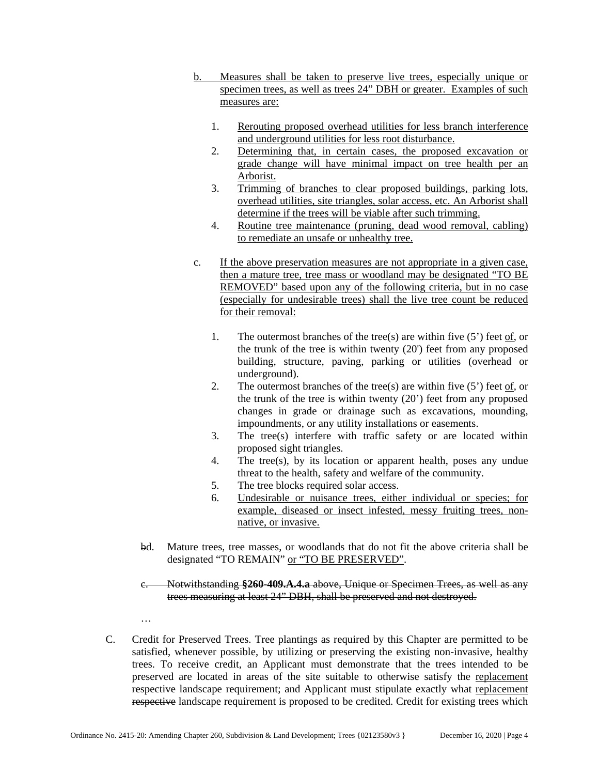- b. Measures shall be taken to preserve live trees, especially unique or specimen trees, as well as trees 24" DBH or greater. Examples of such measures are:
	- 1. Rerouting proposed overhead utilities for less branch interference and underground utilities for less root disturbance.
	- 2. Determining that, in certain cases, the proposed excavation or grade change will have minimal impact on tree health per an Arborist.
	- 3. Trimming of branches to clear proposed buildings, parking lots, overhead utilities, site triangles, solar access, etc. An Arborist shall determine if the trees will be viable after such trimming.
	- 4. Routine tree maintenance (pruning, dead wood removal, cabling) to remediate an unsafe or unhealthy tree.
- c. If the above preservation measures are not appropriate in a given case, then a mature tree, tree mass or woodland may be designated "TO BE REMOVED" based upon any of the following criteria, but in no case (especially for undesirable trees) shall the live tree count be reduced for their removal:
	- 1. The outermost branches of the tree(s) are within five  $(5')$  feet of, or the trunk of the tree is within twenty (20') feet from any proposed building, structure, paving, parking or utilities (overhead or underground).
	- 2. The outermost branches of the tree(s) are within five  $(5')$  feet of, or the trunk of the tree is within twenty (20') feet from any proposed changes in grade or drainage such as excavations, mounding, impoundments, or any utility installations or easements.
	- 3. The tree(s) interfere with traffic safety or are located within proposed sight triangles.
	- 4. The tree(s), by its location or apparent health, poses any undue threat to the health, safety and welfare of the community.
	- 5. The tree blocks required solar access.
	- 6. Undesirable or nuisance trees, either individual or species; for example, diseased or insect infested, messy fruiting trees, nonnative, or invasive.
- bd. Mature trees, tree masses, or woodlands that do not fit the above criteria shall be designated "TO REMAIN" or "TO BE PRESERVED".

c. Notwithstanding **§260-409.A.4.a** above, Unique or Specimen Trees, as well as any trees measuring at least 24" DBH, shall be preserved and not destroyed.

C. Credit for Preserved Trees. Tree plantings as required by this Chapter are permitted to be satisfied, whenever possible, by utilizing or preserving the existing non-invasive, healthy trees. To receive credit, an Applicant must demonstrate that the trees intended to be preserved are located in areas of the site suitable to otherwise satisfy the replacement respective landscape requirement; and Applicant must stipulate exactly what replacement respective landscape requirement is proposed to be credited. Credit for existing trees which

…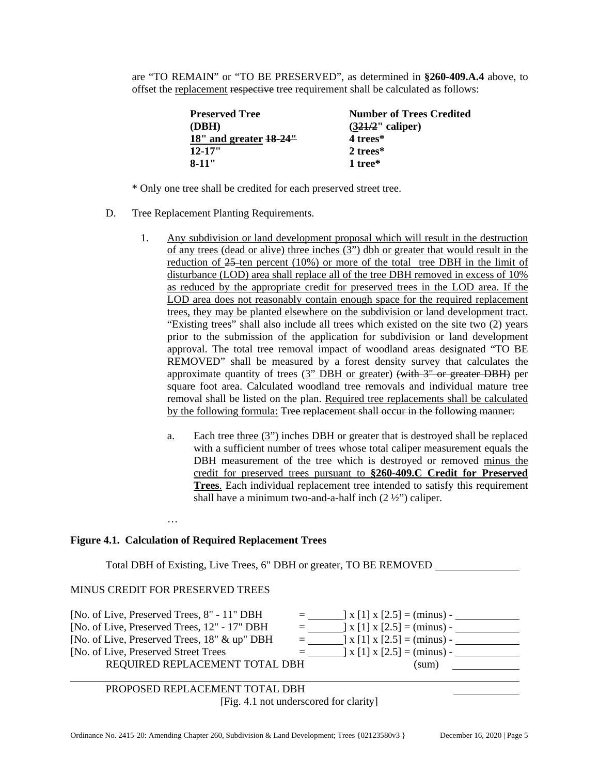are "TO REMAIN" or "TO BE PRESERVED", as determined in **§260-409.A.4** above, to offset the replacement respective tree requirement shall be calculated as follows:

| <b>Preserved Tree</b>      | <b>Number of Trees Credited</b> |
|----------------------------|---------------------------------|
| (DBH)                      | $(321/2"$ caliper)              |
| $18"$ and greater $18-24"$ | 4 trees*                        |
| $12 - 17"$                 | 2 trees*                        |
| $8 - 11"$                  | 1 tree*                         |

\* Only one tree shall be credited for each preserved street tree.

- D. Tree Replacement Planting Requirements.
	- 1. Any subdivision or land development proposal which will result in the destruction of any trees (dead or alive) three inches (3") dbh or greater that would result in the reduction of  $25$ -ten percent (10%) or more of the total tree DBH in the limit of disturbance (LOD) area shall replace all of the tree DBH removed in excess of 10% as reduced by the appropriate credit for preserved trees in the LOD area. If the LOD area does not reasonably contain enough space for the required replacement trees, they may be planted elsewhere on the subdivision or land development tract. "Existing trees" shall also include all trees which existed on the site two (2) years prior to the submission of the application for subdivision or land development approval. The total tree removal impact of woodland areas designated "TO BE REMOVED" shall be measured by a forest density survey that calculates the approximate quantity of trees (3" DBH or greater) (with  $3"$  or greater DBH) per square foot area. Calculated woodland tree removals and individual mature tree removal shall be listed on the plan. Required tree replacements shall be calculated by the following formula: Tree replacement shall occur in the following manner:
		- a. Each tree three (3") inches DBH or greater that is destroyed shall be replaced with a sufficient number of trees whose total caliper measurement equals the DBH measurement of the tree which is destroyed or removed minus the credit for preserved trees pursuant to **§260-409.C Credit for Preserved Trees**. Each individual replacement tree intended to satisfy this requirement shall have a minimum two-and-a-half inch  $(2 \frac{1}{2})$  caliper.

#### **Figure 4.1. Calculation of Required Replacement Trees**

Total DBH of Existing, Live Trees, 6" DBH or greater, TO BE REMOVED

#### MINUS CREDIT FOR PRESERVED TREES

…

| [No. of Live, Preserved Trees, 8" - 11" DBH  | $\equiv$ $\equiv$ | $\vert x \vert$ [1] $x \vert 2.5$ ] = (minus) -                                      |
|----------------------------------------------|-------------------|--------------------------------------------------------------------------------------|
| [No. of Live, Preserved Trees, 12" - 17" DBH | $\equiv$ $\equiv$ | $\lfloor x \rfloor$ x $\lfloor 2.5 \rfloor$ = (minus) -                              |
| [No. of Live, Preserved Trees, 18" & up" DBH | $\equiv$ $\equiv$ | $\vert x \vert$ [1] $x \vert 2.5$ ] = (minus) -                                      |
| [No. of Live, Preserved Street Trees]        | $=$ $-$           | $\left[ \begin{array}{c} 2.5 \end{array} \right]$ x $\left[ 2.5 \right]$ = (minus) - |
| REQUIRED REPLACEMENT TOTAL DBH               |                   | (sum)                                                                                |
|                                              |                   |                                                                                      |

 PROPOSED REPLACEMENT TOTAL DBH [Fig. 4.1 not underscored for clarity]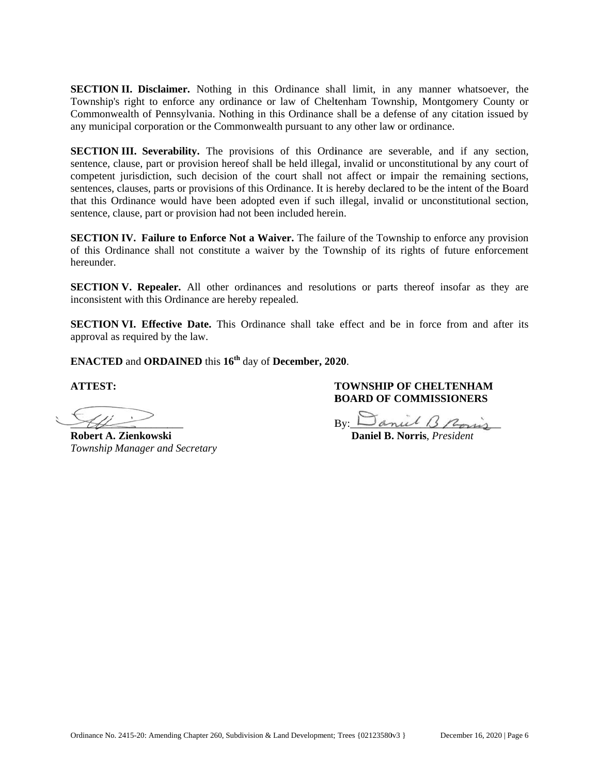**SECTION II. Disclaimer.** Nothing in this Ordinance shall limit, in any manner whatsoever, the Township's right to enforce any ordinance or law of Cheltenham Township, Montgomery County or Commonwealth of Pennsylvania. Nothing in this Ordinance shall be a defense of any citation issued by any municipal corporation or the Commonwealth pursuant to any other law or ordinance.

**SECTION III. Severability.** The provisions of this Ordinance are severable, and if any section, sentence, clause, part or provision hereof shall be held illegal, invalid or unconstitutional by any court of competent jurisdiction, such decision of the court shall not affect or impair the remaining sections, sentences, clauses, parts or provisions of this Ordinance. It is hereby declared to be the intent of the Board that this Ordinance would have been adopted even if such illegal, invalid or unconstitutional section, sentence, clause, part or provision had not been included herein.

**SECTION IV. Failure to Enforce Not a Waiver. The failure of the Township to enforce any provision** of this Ordinance shall not constitute a waiver by the Township of its rights of future enforcement hereunder.

**SECTION V. Repealer.** All other ordinances and resolutions or parts thereof insofar as they are inconsistent with this Ordinance are hereby repealed.

**SECTION VI. Effective Date.** This Ordinance shall take effect and be in force from and after its approval as required by the law.

**ENACTED** and **ORDAINED** this  $16^{th}$  day of **December, 2020**.

**ATTEST T:** 

ł.  $\mathscr{H}$  $\leq$   $\overline{\phantom{a}}$ 

**Robert A A. Zienkowsk ki**  *Township Manager and Secretary* 

# **TOWNSHIP OF CHELTENHAM BOARD OF COMMISSIONERS**

 $Bv: L$ By:  $\Box$  anul 13 Rovis

 **Daniel B . Norris**, *Pre esident*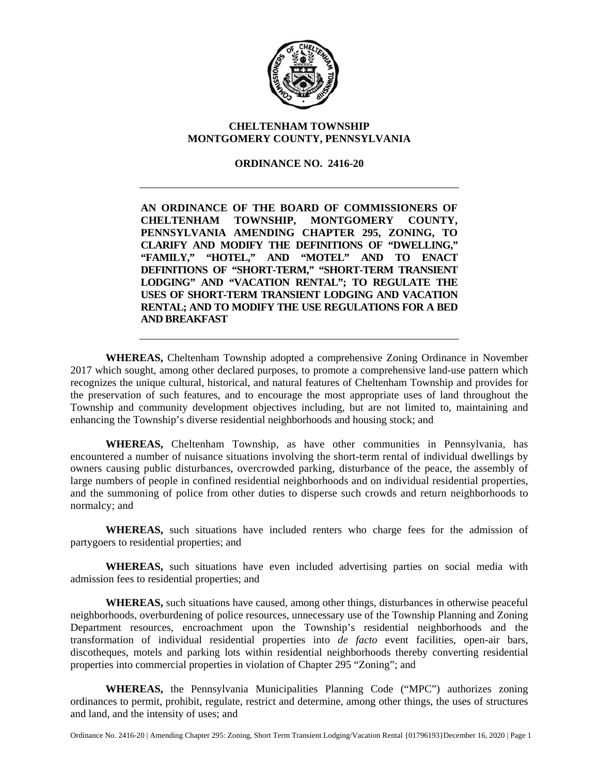

# **CHELTENHAM TOWNSHIP MONTGOMERY COUNTY, PENNSYLVANIA**

# **ORDINANCE NO. 2416-20**

**AN ORDINANCE OF THE BOARD OF COMMISSIONERS OF CHELTENHAM TOWNSHIP, MONTGOMERY COUNTY, PENNSYLVANIA AMENDING CHAPTER 295, ZONING, TO CLARIFY AND MODIFY THE DEFINITIONS OF "DWELLING," "FAMILY," "HOTEL," AND "MOTEL" AND TO ENACT DEFINITIONS OF "SHORT-TERM," "SHORT-TERM TRANSIENT LODGING" AND "VACATION RENTAL"; TO REGULATE THE USES OF SHORT-TERM TRANSIENT LODGING AND VACATION RENTAL; AND TO MODIFY THE USE REGULATIONS FOR A BED AND BREAKFAST** 

**WHEREAS,** Cheltenham Township adopted a comprehensive Zoning Ordinance in November 2017 which sought, among other declared purposes, to promote a comprehensive land-use pattern which recognizes the unique cultural, historical, and natural features of Cheltenham Township and provides for the preservation of such features, and to encourage the most appropriate uses of land throughout the Township and community development objectives including, but are not limited to, maintaining and enhancing the Township's diverse residential neighborhoods and housing stock; and

**WHEREAS,** Cheltenham Township, as have other communities in Pennsylvania, has encountered a number of nuisance situations involving the short-term rental of individual dwellings by owners causing public disturbances, overcrowded parking, disturbance of the peace, the assembly of large numbers of people in confined residential neighborhoods and on individual residential properties, and the summoning of police from other duties to disperse such crowds and return neighborhoods to normalcy; and

**WHEREAS,** such situations have included renters who charge fees for the admission of partygoers to residential properties; and

**WHEREAS,** such situations have even included advertising parties on social media with admission fees to residential properties; and

**WHEREAS,** such situations have caused, among other things, disturbances in otherwise peaceful neighborhoods, overburdening of police resources, unnecessary use of the Township Planning and Zoning Department resources, encroachment upon the Township's residential neighborhoods and the transformation of individual residential properties into *de facto* event facilities, open-air bars, discotheques, motels and parking lots within residential neighborhoods thereby converting residential properties into commercial properties in violation of Chapter 295 "Zoning"; and

**WHEREAS,** the Pennsylvania Municipalities Planning Code ("MPC") authorizes zoning ordinances to permit, prohibit, regulate, restrict and determine, among other things, the uses of structures and land, and the intensity of uses; and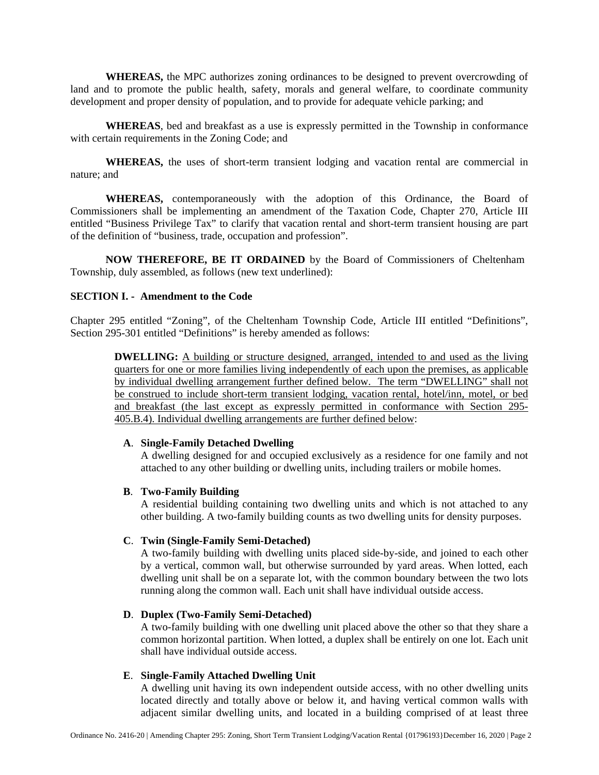**WHEREAS,** the MPC authorizes zoning ordinances to be designed to prevent overcrowding of land and to promote the public health, safety, morals and general welfare, to coordinate community development and proper density of population, and to provide for adequate vehicle parking; and

**WHEREAS**, bed and breakfast as a use is expressly permitted in the Township in conformance with certain requirements in the Zoning Code; and

**WHEREAS,** the uses of short-term transient lodging and vacation rental are commercial in nature; and

**WHEREAS,** contemporaneously with the adoption of this Ordinance, the Board of Commissioners shall be implementing an amendment of the Taxation Code, Chapter 270, Article III entitled "Business Privilege Tax" to clarify that vacation rental and short-term transient housing are part of the definition of "business, trade, occupation and profession".

**NOW THEREFORE, BE IT ORDAINED** by the Board of Commissioners of Cheltenham Township, duly assembled, as follows (new text underlined):

# **SECTION I. - Amendment to the Code**

Chapter 295 entitled "Zoning", of the Cheltenham Township Code, Article III entitled "Definitions", Section 295-301 entitled "Definitions" is hereby amended as follows:

**DWELLING:** A building or structure designed, arranged, intended to and used as the living quarters for one or more families living independently of each upon the premises, as applicable by individual dwelling arrangement further defined below. The term "DWELLING" shall not be construed to include short-term transient lodging, vacation rental, hotel/inn, motel, or bed and breakfast (the last except as expressly permitted in conformance with Section 295- 405.B.4). Individual dwelling arrangements are further defined below:

#### **A**. **Single-Family Detached Dwelling**

 A dwelling designed for and occupied exclusively as a residence for one family and not attached to any other building or dwelling units, including trailers or mobile homes.

### **B**. **Two-Family Building**

 A residential building containing two dwelling units and which is not attached to any other building. A two-family building counts as two dwelling units for density purposes.

# **C**. **Twin (Single-Family Semi-Detached)**

 A two-family building with dwelling units placed side-by-side, and joined to each other by a vertical, common wall, but otherwise surrounded by yard areas. When lotted, each dwelling unit shall be on a separate lot, with the common boundary between the two lots running along the common wall. Each unit shall have individual outside access.

### **D**. **Duplex (Two-Family Semi-Detached)**

A two-family building with one dwelling unit placed above the other so that they share a common horizontal partition. When lotted, a duplex shall be entirely on one lot. Each unit shall have individual outside access.

### **E**. **Single-Family Attached Dwelling Unit**

 A dwelling unit having its own independent outside access, with no other dwelling units located directly and totally above or below it, and having vertical common walls with adjacent similar dwelling units, and located in a building comprised of at least three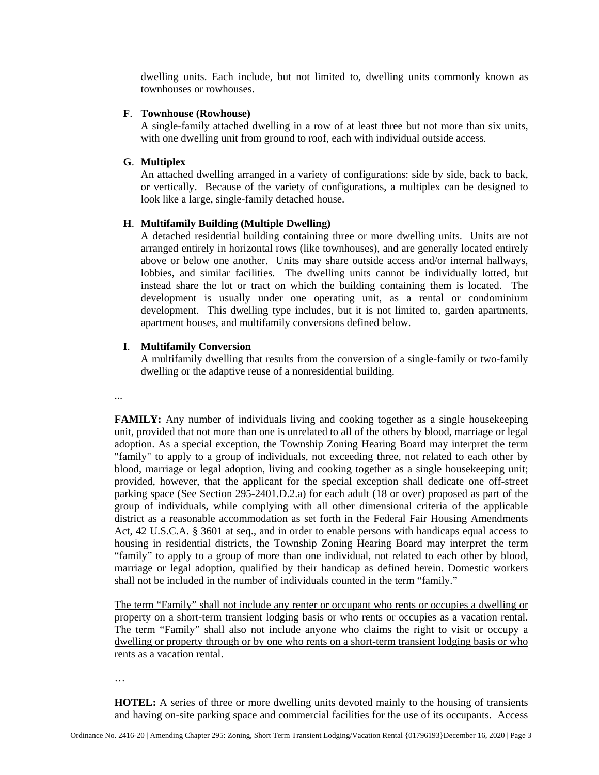dwelling units. Each include, but not limited to, dwelling units commonly known as townhouses or rowhouses.

## **F**. **Townhouse (Rowhouse)**

 A single-family attached dwelling in a row of at least three but not more than six units, with one dwelling unit from ground to roof, each with individual outside access.

# **G**. **Multiplex**

An attached dwelling arranged in a variety of configurations: side by side, back to back, or vertically. Because of the variety of configurations, a multiplex can be designed to look like a large, single-family detached house.

# **H**. **Multifamily Building (Multiple Dwelling)**

A detached residential building containing three or more dwelling units. Units are not arranged entirely in horizontal rows (like townhouses), and are generally located entirely above or below one another. Units may share outside access and/or internal hallways, lobbies, and similar facilities. The dwelling units cannot be individually lotted, but instead share the lot or tract on which the building containing them is located. The development is usually under one operating unit, as a rental or condominium development. This dwelling type includes, but it is not limited to, garden apartments, apartment houses, and multifamily conversions defined below.

# **I**. **Multifamily Conversion**

A multifamily dwelling that results from the conversion of a single-family or two-family dwelling or the adaptive reuse of a nonresidential building.

...

FAMILY: Any number of individuals living and cooking together as a single housekeeping unit, provided that not more than one is unrelated to all of the others by blood, marriage or legal adoption. As a special exception, the Township Zoning Hearing Board may interpret the term "family" to apply to a group of individuals, not exceeding three, not related to each other by blood, marriage or legal adoption, living and cooking together as a single housekeeping unit; provided, however, that the applicant for the special exception shall dedicate one off-street parking space (See Section 295-2401.D.2.a) for each adult (18 or over) proposed as part of the group of individuals, while complying with all other dimensional criteria of the applicable district as a reasonable accommodation as set forth in the Federal Fair Housing Amendments Act, 42 U.S.C.A. § 3601 at seq., and in order to enable persons with handicaps equal access to housing in residential districts, the Township Zoning Hearing Board may interpret the term "family" to apply to a group of more than one individual, not related to each other by blood, marriage or legal adoption, qualified by their handicap as defined herein. Domestic workers shall not be included in the number of individuals counted in the term "family."

The term "Family" shall not include any renter or occupant who rents or occupies a dwelling or property on a short-term transient lodging basis or who rents or occupies as a vacation rental. The term "Family" shall also not include anyone who claims the right to visit or occupy a dwelling or property through or by one who rents on a short-term transient lodging basis or who rents as a vacation rental.

…

**HOTEL:** A series of three or more dwelling units devoted mainly to the housing of transients and having on-site parking space and commercial facilities for the use of its occupants. Access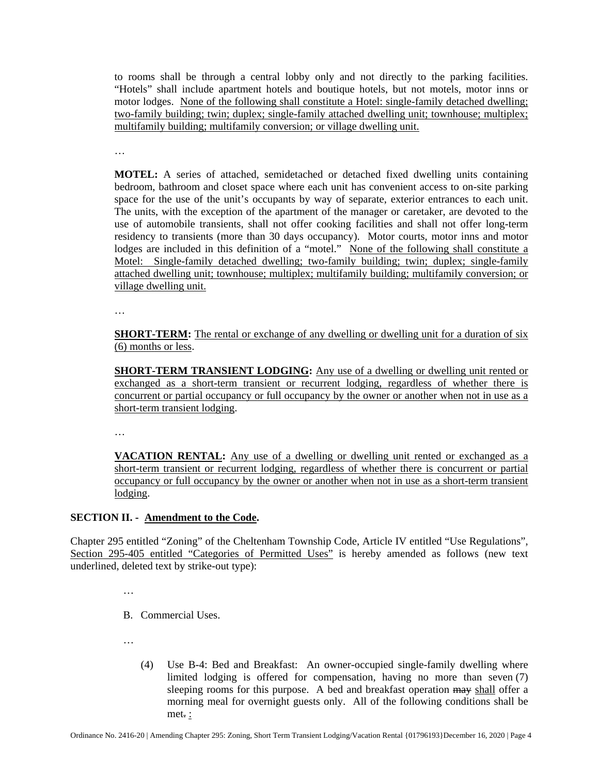to rooms shall be through a central lobby only and not directly to the parking facilities. "Hotels" shall include apartment hotels and boutique hotels, but not motels, motor inns or motor lodges. None of the following shall constitute a Hotel: single-family detached dwelling; two-family building; twin; duplex; single-family attached dwelling unit; townhouse; multiplex; multifamily building; multifamily conversion; or village dwelling unit.

…

**MOTEL:** A series of attached, semidetached or detached fixed dwelling units containing bedroom, bathroom and closet space where each unit has convenient access to on-site parking space for the use of the unit's occupants by way of separate, exterior entrances to each unit. The units, with the exception of the apartment of the manager or caretaker, are devoted to the use of automobile transients, shall not offer cooking facilities and shall not offer long-term residency to transients (more than 30 days occupancy). Motor courts, motor inns and motor lodges are included in this definition of a "motel." None of the following shall constitute a Motel: Single-family detached dwelling; two-family building; twin; duplex; single-family attached dwelling unit; townhouse; multiplex; multifamily building; multifamily conversion; or village dwelling unit.

…

**SHORT-TERM:** The rental or exchange of any dwelling or dwelling unit for a duration of six (6) months or less.

**SHORT-TERM TRANSIENT LODGING:** Any use of a dwelling or dwelling unit rented or exchanged as a short-term transient or recurrent lodging, regardless of whether there is concurrent or partial occupancy or full occupancy by the owner or another when not in use as a short-term transient lodging.

…

**VACATION RENTAL:** Any use of a dwelling or dwelling unit rented or exchanged as a short-term transient or recurrent lodging, regardless of whether there is concurrent or partial occupancy or full occupancy by the owner or another when not in use as a short-term transient lodging.

# **SECTION II. - Amendment to the Code.**

Chapter 295 entitled "Zoning" of the Cheltenham Township Code, Article IV entitled "Use Regulations", Section 295-405 entitled "Categories of Permitted Uses" is hereby amended as follows (new text underlined, deleted text by strike-out type):

…

B. Commercial Uses.

…

(4) Use B-4: Bed and Breakfast:An owner-occupied single-family dwelling where limited lodging is offered for compensation, having no more than seven (7) sleeping rooms for this purpose. A bed and breakfast operation may shall offer a morning meal for overnight guests only. All of the following conditions shall be met. :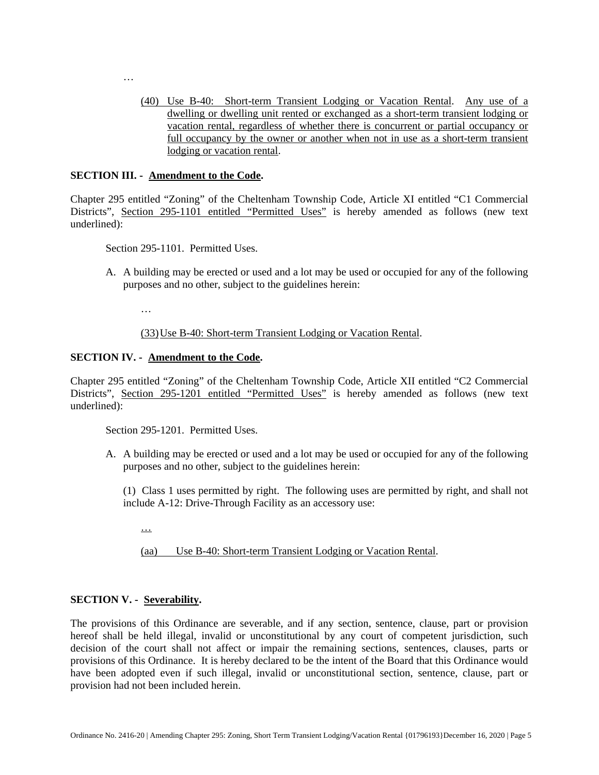(40) Use B-40: Short-term Transient Lodging or Vacation Rental. Any use of a dwelling or dwelling unit rented or exchanged as a short-term transient lodging or vacation rental, regardless of whether there is concurrent or partial occupancy or full occupancy by the owner or another when not in use as a short-term transient lodging or vacation rental.

### **SECTION III. - Amendment to the Code.**

…

Chapter 295 entitled "Zoning" of the Cheltenham Township Code, Article XI entitled "C1 Commercial Districts", Section 295-1101 entitled "Permitted Uses" is hereby amended as follows (new text underlined):

Section 295-1101. Permitted Uses.

A. A building may be erected or used and a lot may be used or occupied for any of the following purposes and no other, subject to the guidelines herein:

…

# (33)Use B-40: Short-term Transient Lodging or Vacation Rental.

### **SECTION IV. - Amendment to the Code.**

Chapter 295 entitled "Zoning" of the Cheltenham Township Code, Article XII entitled "C2 Commercial Districts", Section 295-1201 entitled "Permitted Uses" is hereby amended as follows (new text underlined):

Section 295-1201. Permitted Uses.

A. A building may be erected or used and a lot may be used or occupied for any of the following purposes and no other, subject to the guidelines herein:

(1) Class 1 uses permitted by right. The following uses are permitted by right, and shall not include A-12: Drive-Through Facility as an accessory use:

…

(aa) Use B-40: Short-term Transient Lodging or Vacation Rental.

### **SECTION V. - Severability.**

The provisions of this Ordinance are severable, and if any section, sentence, clause, part or provision hereof shall be held illegal, invalid or unconstitutional by any court of competent jurisdiction, such decision of the court shall not affect or impair the remaining sections, sentences, clauses, parts or provisions of this Ordinance. It is hereby declared to be the intent of the Board that this Ordinance would have been adopted even if such illegal, invalid or unconstitutional section, sentence, clause, part or provision had not been included herein.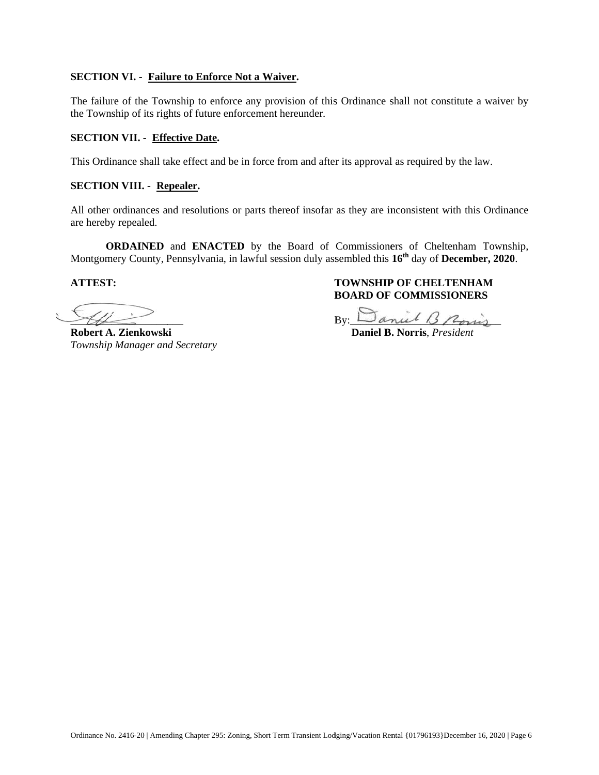# **SECTION VI. - Failure to Enforce Not a Waiver.**

The failure of the Township to enforce any provision of this Ordinance shall not constitute a waiver by the Township of its rights of future enforcement hereunder.

## **SECTION VII. - Effective Date.**

This Ordinance shall take effect and be in force from and after its approval as required by the law.

### **SECTION VIII. - Repealer.**

All other ordinances and resolutions or parts thereof insofar as they are inconsistent with this Ordinance are hereby repealed.

**ORDAINED** and **ENACTED** by the Board of Commissioners of Cheltenham Township, Montgomery County, Pennsylvania, in lawful session duly assembled this 16<sup>th</sup> day of December, 2020.

**ATTEST T:** 

i.  $\mathscr{H}$  $\leq$   $-$ 

**Robert A A. Zienkowsk ki**  *Township Manager and Secretary* 

 $\overline{\phantom{a}}$ 

# **TOWNSHIP OF CHELTENHAM BOARD OF COMMISSIONERS**

By:  $\Box$  anul 13 Poris

 **Daniel B . Norris**, *Pre esident*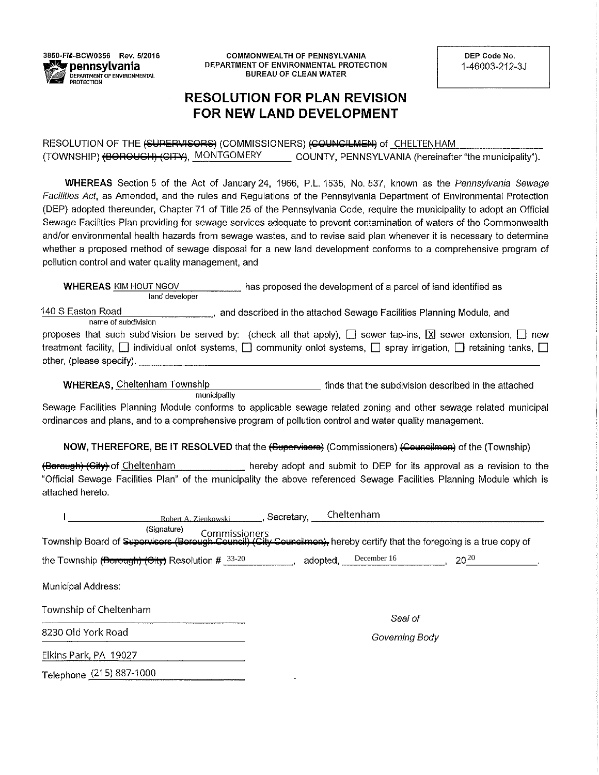3850-FM-BCW0356 Rev. 5/2016 pennsylvania DEPARTMENT OF ENVIRONMENTAL **PROTECTION** 

**COMMONWEALTH OF PENNSYLVANIA** DEPARTMENT OF ENVIRONMENTAL PROTECTION **BUREAU OF CLEAN WATER** 

DEP Code No. 1-46003-212-3J

# **RESOLUTION FOR PLAN REVISION** FOR NEW LAND DEVELOPMENT

RESOLUTION OF THE (SUPERVISORS) (COMMISSIONERS) (COUNCILMEN) of CHELTENHAM (TOWNSHIP) (BOROUCH) (CITY), MONTGOMERY COUNTY, PENNSYLVANIA (hereinafter "the municipality").

WHEREAS Section 5 of the Act of January 24, 1966, P.L. 1535, No. 537, known as the Pennsylvania Sewage Facilities Act, as Amended, and the rules and Regulations of the Pennsylvania Department of Environmental Protection (DEP) adopted thereunder, Chapter 71 of Title 25 of the Pennsylvania Code, require the municipality to adopt an Official Sewage Facilities Plan providing for sewage services adequate to prevent contamination of waters of the Commonwealth and/or environmental health hazards from sewage wastes, and to revise said plan whenever it is necessary to determine whether a proposed method of sewage disposal for a new land development conforms to a comprehensive program of pollution control and water quality management, and

**WHEREAS KIM HOUT NGOV** has proposed the development of a parcel of land identified as land developer 140 S Easton Road , and described in the attached Sewage Facilities Planning Module, and

name of subdivision

|                          |  | proposes that such subdivision be served by: (check all that apply), $\Box$ sewer tap-ins, $\boxtimes$ sewer extension, $\Box$ new           |  |  |  |  |  |  |
|--------------------------|--|----------------------------------------------------------------------------------------------------------------------------------------------|--|--|--|--|--|--|
|                          |  | treatment facility, $\Box$ individual onlot systems, $\Box$ community onlot systems, $\Box$ spray irrigation, $\Box$ retaining tanks, $\Box$ |  |  |  |  |  |  |
| other, (please specify). |  |                                                                                                                                              |  |  |  |  |  |  |

**WHEREAS, Cheltenham Township** finds that the subdivision described in the attached municipality

Sewage Facilities Planning Module conforms to applicable sewage related zoning and other sewage related municipal ordinances and plans, and to a comprehensive program of pollution control and water quality management.

NOW, THEREFORE, BE IT RESOLVED that the (Supervisore) (Commissioners) (Councilmen) of the (Township)

(Borough) (Gity) of Cheltenham hereby adopt and submit to DEP for its approval as a revision to the "Official Sewage Facilities Plan" of the municipality the above referenced Sewage Facilities Planning Module which is attached hereto.

|                                                                                                                                                                                          | Robert A. Zienkowski ________, Secretary, ___Cheltenham |           |
|------------------------------------------------------------------------------------------------------------------------------------------------------------------------------------------|---------------------------------------------------------|-----------|
| (Signature)<br><sup>(Signature)</sup> Commissioners<br>Township Board of <del>Supervisers (Bereugh Ceuneil) (City Ceuneilmen),</del> hereby certify that the foregoing is a true copy of |                                                         |           |
| the Township (Borough) (City) Resolution $\#$ $33-20$                                                                                                                                    | $adopted$ , $December 16$                               | $20^{20}$ |
| <b>Municipal Address:</b>                                                                                                                                                                |                                                         |           |
| Township of Cheltenham                                                                                                                                                                   | Seal of                                                 |           |
| 8230 Old York Road                                                                                                                                                                       | Governing Body                                          |           |
| Elkins Park, PA 19027                                                                                                                                                                    |                                                         |           |
| Telephone (215) 887-1000                                                                                                                                                                 |                                                         |           |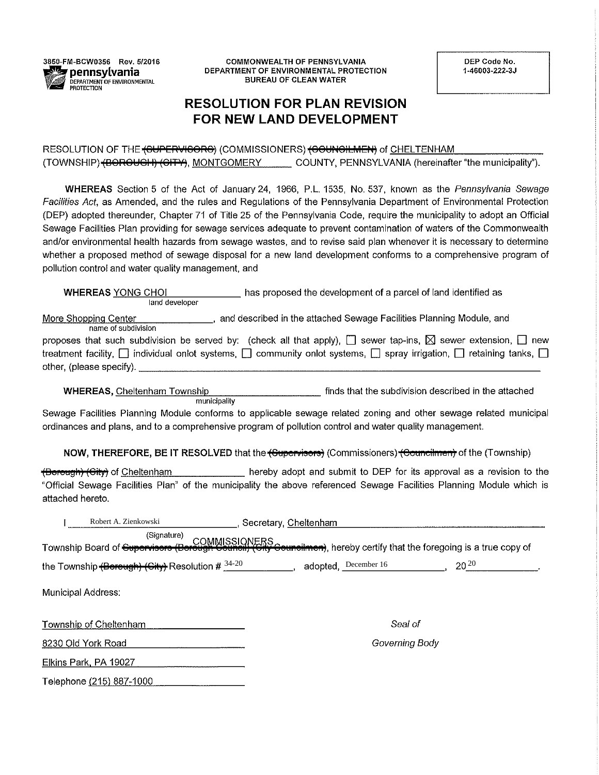

**COMMONWEALTH OF PENNSYLVANIA** DEPARTMENT OF ENVIRONMENTAL PROTECTION **BUREAU OF CLEAN WATER** 

DEP Code No. 1-46003-222-3J

# **RESOLUTION FOR PLAN REVISION** FOR NEW LAND DEVELOPMENT

RESOLUTION OF THE <del>(GUPERVIGORG</del>) (COMMISSIONERS) <del>(GOUNGILMEN)</del> of CHELTENHAM (TOWNSHIP) (BOROUCH) (CITY), MONTGOMERY COUNTY, PENNSYLVANIA (hereinafter "the municipality").

WHEREAS Section 5 of the Act of January 24, 1966, P.L. 1535, No. 537, known as the Pennsylvania Sewage Facilities Act, as Amended, and the rules and Regulations of the Pennsylvania Department of Environmental Protection (DEP) adopted thereunder, Chapter 71 of Title 25 of the Pennsylvania Code, require the municipality to adopt an Official Sewage Facilities Plan providing for sewage services adequate to prevent contamination of waters of the Commonwealth and/or environmental health hazards from sewage wastes, and to revise said plan whenever it is necessary to determine whether a proposed method of sewage disposal for a new land development conforms to a comprehensive program of pollution control and water quality management, and

has proposed the development of a parcel of land identified as **WHEREAS YONG CHOI** land developer

More Shopping Center , and described in the attached Sewage Facilities Planning Module, and name of subdivision

| proposes that such subdivision be served by: (check all that apply), $\Box$ sewer tap-ins, $\boxtimes$ sewer extension, $\Box$ new           |  |
|----------------------------------------------------------------------------------------------------------------------------------------------|--|
| treatment facility, $\Box$ individual onlot systems, $\Box$ community onlot systems, $\Box$ spray irrigation, $\Box$ retaining tanks, $\Box$ |  |
| other, (please specify). _                                                                                                                   |  |

**WHEREAS, Cheltenham Township** finds that the subdivision described in the attached municipality

Sewage Facilities Planning Module conforms to applicable sewage related zoning and other sewage related municipal ordinances and plans, and to a comprehensive program of pollution control and water quality management.

NOW, THEREFORE, BE IT RESOLVED that the (Supervisors) (Commissioners) (Councilmen) of the (Township)

hereby adopt and submit to DEP for its approval as a revision to the <del>(Borough) (City)</del> of Cheltenham "Official Sewage Facilities Plan" of the municipality the above referenced Sewage Facilities Planning Module which is attached hereto.

| Robert A. Zienkowski                                  | Secretary, Cheltenham                                                                                              |           |
|-------------------------------------------------------|--------------------------------------------------------------------------------------------------------------------|-----------|
| (Signature)<br>Township Board of Supervisors (Borough | COMMISSIONERS<br><del>rough Gouncil) (City Councilmen)</del> , hereby certify that the foregoing is a true copy of |           |
| the Township (Berough) (Gity) Resolution # $34-20$    | adopted, December 16                                                                                               | $20^{20}$ |
| <b>Municipal Address:</b>                             |                                                                                                                    |           |
| Township of Cheltenham                                | Seal of                                                                                                            |           |
| 8230 Old York Road                                    | Governing Body                                                                                                     |           |
| Elkins Park, PA 19027                                 |                                                                                                                    |           |
| Telephone (215) 887-1000                              |                                                                                                                    |           |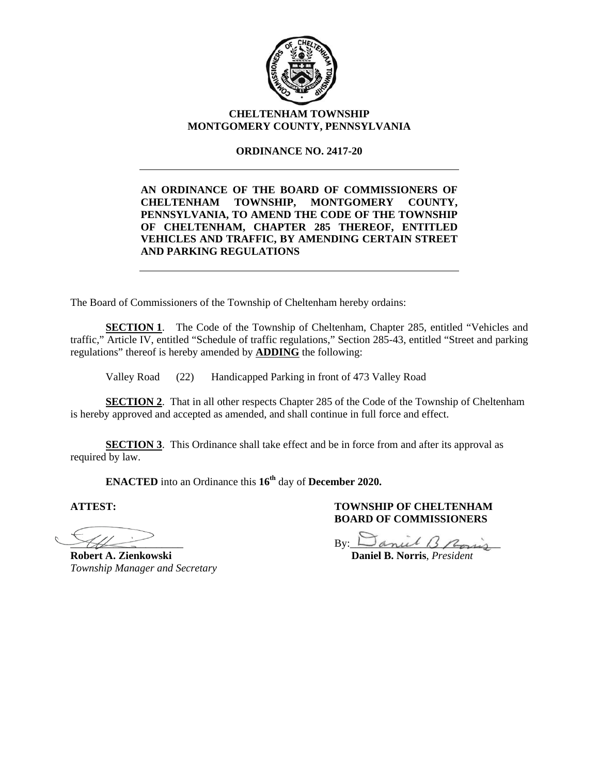

# **CHELTENHAM TOWNSHIP MONTGOMERY COUNTY, PENNSYLVANIA**

# **ORDINANCE NO. 2417-20**

**AN ORDINANCE OF THE BOARD OF COMMISSIONERS OF CHELTENHAM TOWNSHIP, MONTGOMERY COUNTY, PENNSYLVANIA, TO AMEND THE CODE OF THE TOWNSHIP OF CHELTENHAM, CHAPTER 285 THEREOF, ENTITLED VEHICLES AND TRAFFIC, BY AMENDING CERTAIN STREET AND PARKING REGULATIONS** 

The Board of Commissioners of the Township of Cheltenham hereby ordains:

**SECTION 1.** The Code of the Township of Cheltenham, Chapter 285, entitled "Vehicles and traffic," Article IV, entitled "Schedule of traffic regulations," Section 285-43, entitled "Street and parking regulations" thereof is hereby amended by **ADDING** the following:

Valley Road (22) Handicapped Parking in front of 473 Valley Road

**SECTION 2.** That in all other respects Chapter 285 of the Code of the Township of Cheltenham is hereby approved and accepted as amended, and shall continue in full force and effect.

**SECTION 3**. This Ordinance shall take effect and be in force from and after its approval as required by law.

**ENACTED** into an Ordinance this **16th** day of **December 2020.**

 $\overline{a}$ 

**Robert A. Zienkowski** Daniel B. Norris. *President Township Manager and Secretary* 

 $By: \Delta$ anul B Rosis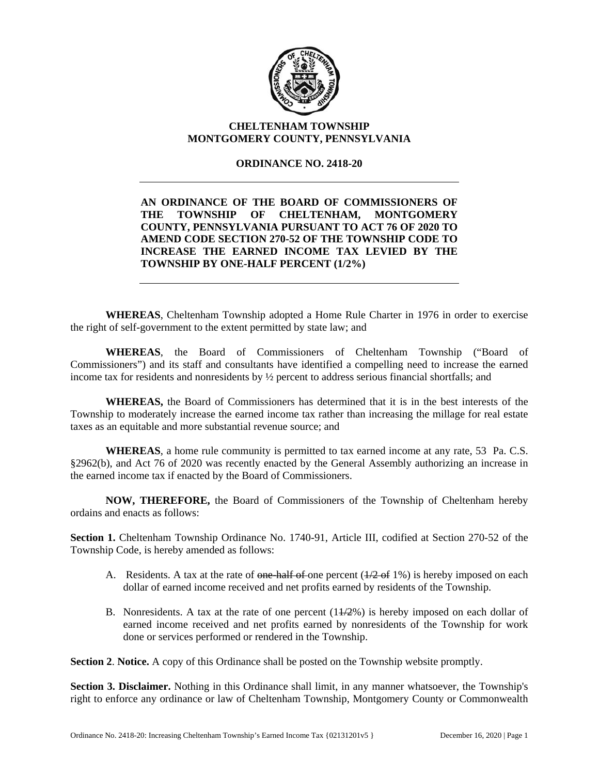

# **CHELTENHAM TOWNSHIP MONTGOMERY COUNTY, PENNSYLVANIA**

# **ORDINANCE NO. 2418-20**

**AN ORDINANCE OF THE BOARD OF COMMISSIONERS OF THE TOWNSHIP OF CHELTENHAM, MONTGOMERY COUNTY, PENNSYLVANIA PURSUANT TO ACT 76 OF 2020 TO AMEND CODE SECTION 270-52 OF THE TOWNSHIP CODE TO INCREASE THE EARNED INCOME TAX LEVIED BY THE TOWNSHIP BY ONE-HALF PERCENT (1/2%)** 

**WHEREAS**, Cheltenham Township adopted a Home Rule Charter in 1976 in order to exercise the right of self-government to the extent permitted by state law; and

**WHEREAS**, the Board of Commissioners of Cheltenham Township ("Board of Commissioners") and its staff and consultants have identified a compelling need to increase the earned income tax for residents and nonresidents by ½ percent to address serious financial shortfalls; and

**WHEREAS,** the Board of Commissioners has determined that it is in the best interests of the Township to moderately increase the earned income tax rather than increasing the millage for real estate taxes as an equitable and more substantial revenue source; and

**WHEREAS**, a home rule community is permitted to tax earned income at any rate, 53 Pa. C.S. §2962(b), and Act 76 of 2020 was recently enacted by the General Assembly authorizing an increase in the earned income tax if enacted by the Board of Commissioners.

**NOW, THEREFORE,** the Board of Commissioners of the Township of Cheltenham hereby ordains and enacts as follows:

**Section 1.** Cheltenham Township Ordinance No. 1740-91, Article III, codified at Section 270-52 of the Township Code, is hereby amended as follows:

- A. Residents. A tax at the rate of one-half of one percent  $(1/2 6i)$  is hereby imposed on each dollar of earned income received and net profits earned by residents of the Township.
- B. Nonresidents. A tax at the rate of one percent (11/2%) is hereby imposed on each dollar of earned income received and net profits earned by nonresidents of the Township for work done or services performed or rendered in the Township.

**Section 2**. **Notice.** A copy of this Ordinance shall be posted on the Township website promptly.

**Section 3. Disclaimer.** Nothing in this Ordinance shall limit, in any manner whatsoever, the Township's right to enforce any ordinance or law of Cheltenham Township, Montgomery County or Commonwealth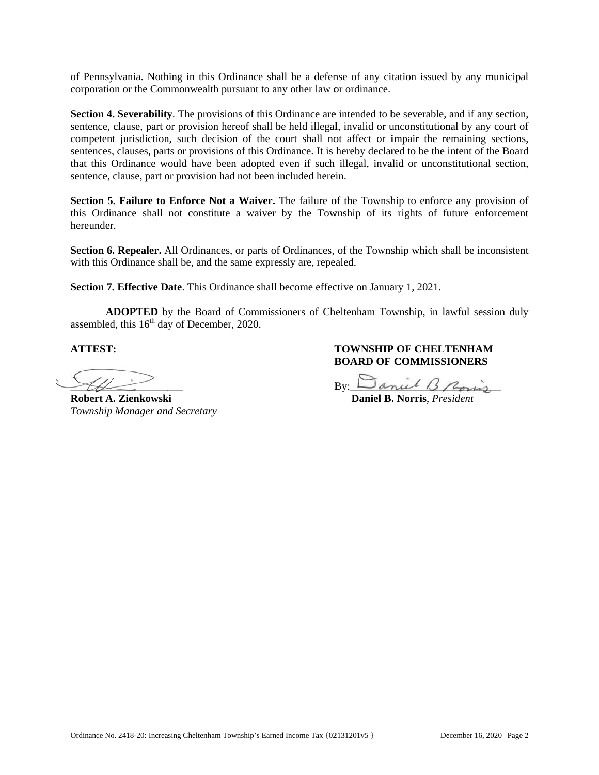of Pennsylvania. Nothing in this Ordinance shall be a defense of any citation issued by any municipal corporation or the Commonwealth pursuant to any other law or ordinance.

Section 4. Severability. The provisions of this Ordinance are intended to be severable, and if any section, sentence, clause, part or provision hereof shall be held illegal, invalid or unconstitutional by any court of competent jurisdiction, such decision of the court shall not affect or impair the remaining sections, sentences, clauses, parts or provisions of this Ordinance. It is hereby declared to be the intent of the Board that this Ordinance would have been adopted even if such illegal, invalid or unconstitutional section, sentence, clause, part or provision had not been included herein.

**Section 5. Failure to Enforce Not a Waiver.** The failure of the Township to enforce any provision of this Ordinance shall not constitute a waiver by the Township of its rights of future enforcement hereunder.

Section 6. Repealer. All Ordinances, or parts of Ordinances, of the Township which shall be inconsistent with this Ordinance shall be, and the same expressly are, repealed.

**Section 7. Effective Date**. This Ordinance shall become effective on January 1, 2021.

ADOPTED by the Board of Commissioners of Cheltenham Township, in lawful session duly assembled, this  $16<sup>th</sup>$  day of December, 2020.

**ATTEST T:** 

.  $\mathcal{H}$  $\overline{\phantom{a}}$  $\overline{\phantom{a}}$ 

**Robert A A. Zienkowsk ki**  *Township Manager and Secretary* 

**TOWNSHIP OF CHELTENHAM BOARD OF COMMISSIONERS** 

<u>By:  $\Box$ </u>  $mu$  13/ Roms

 **Daniel B . Norris**, *Pre esident*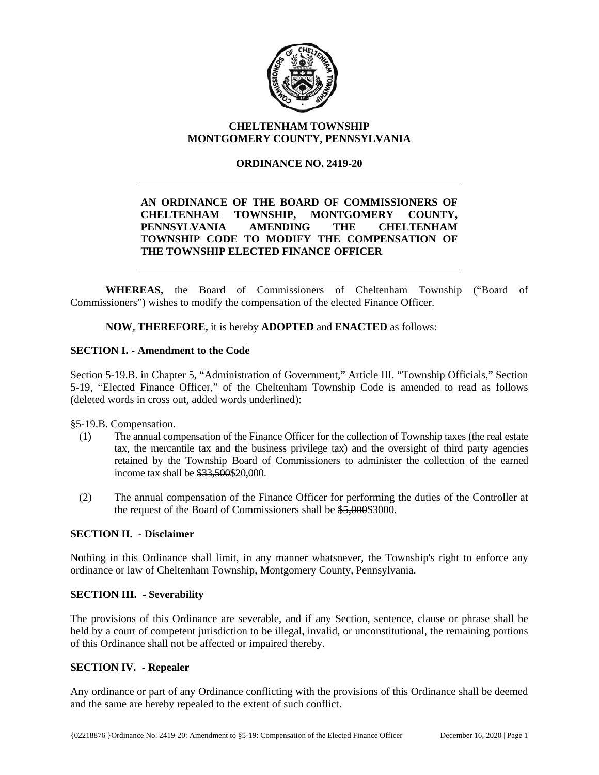

# **CHELTENHAM TOWNSHIP MONTGOMERY COUNTY, PENNSYLVANIA**

# **ORDINANCE NO. 2419-20**

# **AN ORDINANCE OF THE BOARD OF COMMISSIONERS OF CHELTENHAM TOWNSHIP, MONTGOMERY COUNTY, PENNSYLVANIA AMENDING THE CHELTENHAM TOWNSHIP CODE TO MODIFY THE COMPENSATION OF THE TOWNSHIP ELECTED FINANCE OFFICER**

**WHEREAS,** the Board of Commissioners of Cheltenham Township ("Board of Commissioners") wishes to modify the compensation of the elected Finance Officer.

**NOW, THEREFORE,** it is hereby **ADOPTED** and **ENACTED** as follows:

# **SECTION I. - Amendment to the Code**

Section 5-19.B. in Chapter 5, "Administration of Government," Article III. "Township Officials," Section 5-19, "Elected Finance Officer," of the Cheltenham Township Code is amended to read as follows (deleted words in cross out, added words underlined):

§5-19.B. Compensation.

- (1) The annual compensation of the Finance Officer for the collection of Township taxes (the real estate tax, the mercantile tax and the business privilege tax) and the oversight of third party agencies retained by the Township Board of Commissioners to administer the collection of the earned income tax shall be \$33,500\$20,000.
- (2) The annual compensation of the Finance Officer for performing the duties of the Controller at the request of the Board of Commissioners shall be \$5,000\$3000.

# **SECTION II. - Disclaimer**

Nothing in this Ordinance shall limit, in any manner whatsoever, the Township's right to enforce any ordinance or law of Cheltenham Township, Montgomery County, Pennsylvania.

# **SECTION III. - Severability**

The provisions of this Ordinance are severable, and if any Section, sentence, clause or phrase shall be held by a court of competent jurisdiction to be illegal, invalid, or unconstitutional, the remaining portions of this Ordinance shall not be affected or impaired thereby.

# **SECTION IV. - Repealer**

Any ordinance or part of any Ordinance conflicting with the provisions of this Ordinance shall be deemed and the same are hereby repealed to the extent of such conflict.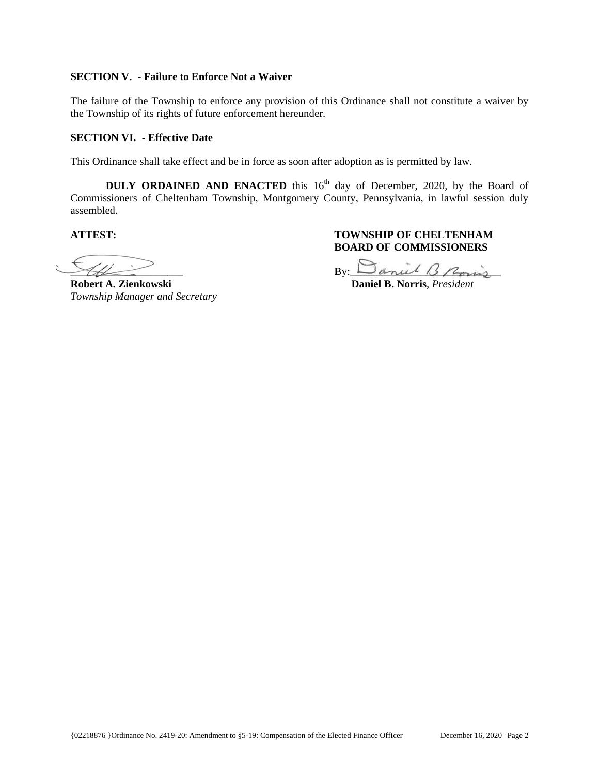### **SECTION V.** - Failure to Enforce Not a Waiver

The failure of the Township to enforce any provision of this Ordinance shall not constitute a waiver by the Township of its rights of future enforcement hereunder.

# **SECTION VI. - Effective Date**

This Ordinance shall take effect and be in force as soon after adoption as is permitted by law.

**DULY ORDAINED AND ENACTED** this 16<sup>th</sup> day of December, 2020, by the Board of Commissioners of Cheltenham Township, Montgomery County, Pennsylvania, in lawful session duly assembled d.

**ATTEST T:** 

Ļ  $\frac{1}{2}$  $\leq$   $-$ 

**Robert A A. Zienkowsk ki**  *Township Manager and Secretary* 

 $\overline{\phantom{a}}$ 

**TOWNSHIP OF CHELTENHAM BOARD OF COMMISSIONERS** 

By:  $\Box$  anul 13 Rovis

**Daniel B. Norris**, *President*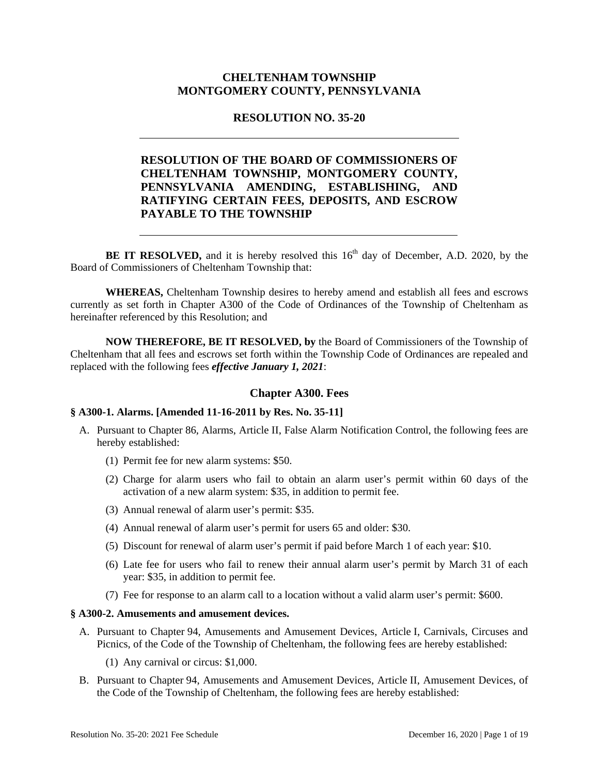# **CHELTENHAM TOWNSHIP MONTGOMERY COUNTY, PENNSYLVANIA**

# **RESOLUTION NO. 35-20**

# **RESOLUTION OF THE BOARD OF COMMISSIONERS OF CHELTENHAM TOWNSHIP, MONTGOMERY COUNTY, PENNSYLVANIA AMENDING, ESTABLISHING, AND RATIFYING CERTAIN FEES, DEPOSITS, AND ESCROW PAYABLE TO THE TOWNSHIP**

**BE IT RESOLVED,** and it is hereby resolved this  $16<sup>th</sup>$  day of December, A.D. 2020, by the Board of Commissioners of Cheltenham Township that:

**WHEREAS,** Cheltenham Township desires to hereby amend and establish all fees and escrows currently as set forth in Chapter A300 of the Code of Ordinances of the Township of Cheltenham as hereinafter referenced by this Resolution; and

**NOW THEREFORE, BE IT RESOLVED, by** the Board of Commissioners of the Township of Cheltenham that all fees and escrows set forth within the Township Code of Ordinances are repealed and replaced with the following fees *effective January 1, 2021*:

### **Chapter A300. Fees**

#### **§ A300-1. Alarms. [Amended 11-16-2011 by Res. No. 35-11]**

- A. Pursuant to Chapter 86, Alarms, Article II, False Alarm Notification Control, the following fees are hereby established:
	- (1) Permit fee for new alarm systems: \$50.
	- (2) Charge for alarm users who fail to obtain an alarm user's permit within 60 days of the activation of a new alarm system: \$35, in addition to permit fee.
	- (3) Annual renewal of alarm user's permit: \$35.
	- (4) Annual renewal of alarm user's permit for users 65 and older: \$30.
	- (5) Discount for renewal of alarm user's permit if paid before March 1 of each year: \$10.
	- (6) Late fee for users who fail to renew their annual alarm user's permit by March 31 of each year: \$35, in addition to permit fee.
	- (7) Fee for response to an alarm call to a location without a valid alarm user's permit: \$600.

# **§ A300-2. Amusements and amusement devices.**

- A. Pursuant to Chapter 94, Amusements and Amusement Devices, Article I, Carnivals, Circuses and Picnics, of the Code of the Township of Cheltenham, the following fees are hereby established:
	- (1) Any carnival or circus: \$1,000.
- B. Pursuant to Chapter 94, Amusements and Amusement Devices, Article II, Amusement Devices, of the Code of the Township of Cheltenham, the following fees are hereby established: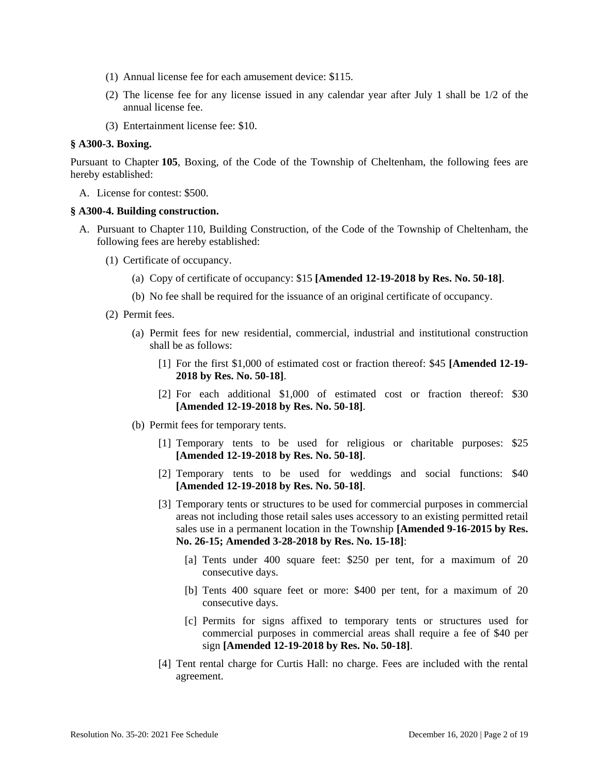- (1) Annual license fee for each amusement device: \$115.
- (2) The license fee for any license issued in any calendar year after July 1 shall be 1/2 of the annual license fee.
- (3) Entertainment license fee: \$10.

### **§ A300-3. Boxing.**

Pursuant to Chapter **105**, Boxing, of the Code of the Township of Cheltenham, the following fees are hereby established:

A. License for contest: \$500.

#### **§ A300-4. Building construction.**

- A. Pursuant to Chapter 110, Building Construction, of the Code of the Township of Cheltenham, the following fees are hereby established:
	- (1) Certificate of occupancy.
		- (a) Copy of certificate of occupancy: \$15 **[Amended 12-19-2018 by Res. No. 50-18]**.
		- (b) No fee shall be required for the issuance of an original certificate of occupancy.
	- (2) Permit fees.
		- (a) Permit fees for new residential, commercial, industrial and institutional construction shall be as follows:
			- [1] For the first \$1,000 of estimated cost or fraction thereof: \$45 **[Amended 12-19- 2018 by Res. No. 50-18]**.
			- [2] For each additional \$1,000 of estimated cost or fraction thereof: \$30 **[Amended 12-19-2018 by Res. No. 50-18]**.
		- (b) Permit fees for temporary tents.
			- [1] Temporary tents to be used for religious or charitable purposes: \$25 **[Amended 12-19-2018 by Res. No. 50-18]**.
			- [2] Temporary tents to be used for weddings and social functions: \$40 **[Amended 12-19-2018 by Res. No. 50-18]**.
			- [3] Temporary tents or structures to be used for commercial purposes in commercial areas not including those retail sales uses accessory to an existing permitted retail sales use in a permanent location in the Township **[Amended 9-16-2015 by Res. No. 26-15; Amended 3-28-2018 by Res. No. 15-18]**:
				- [a] Tents under 400 square feet: \$250 per tent, for a maximum of 20 consecutive days.
				- [b] Tents 400 square feet or more: \$400 per tent, for a maximum of 20 consecutive days.
				- [c] Permits for signs affixed to temporary tents or structures used for commercial purposes in commercial areas shall require a fee of \$40 per sign **[Amended 12-19-2018 by Res. No. 50-18]**.
			- [4] Tent rental charge for Curtis Hall: no charge. Fees are included with the rental agreement.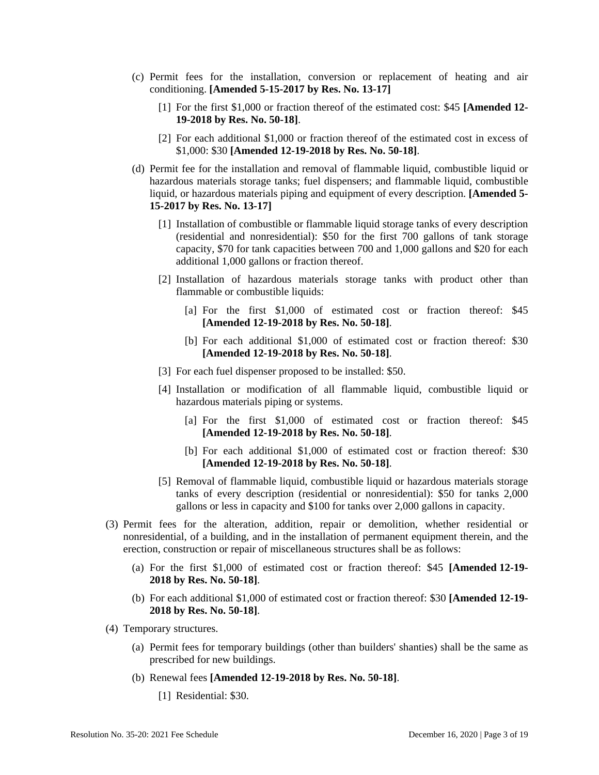- (c) Permit fees for the installation, conversion or replacement of heating and air conditioning. **[Amended 5-15-2017 by Res. No. 13-17]**
	- [1] For the first \$1,000 or fraction thereof of the estimated cost: \$45 **[Amended 12- 19-2018 by Res. No. 50-18]**.
	- [2] For each additional \$1,000 or fraction thereof of the estimated cost in excess of \$1,000: \$30 **[Amended 12-19-2018 by Res. No. 50-18]**.
- (d) Permit fee for the installation and removal of flammable liquid, combustible liquid or hazardous materials storage tanks; fuel dispensers; and flammable liquid, combustible liquid, or hazardous materials piping and equipment of every description. **[Amended 5- 15-2017 by Res. No. 13-17]**
	- [1] Installation of combustible or flammable liquid storage tanks of every description (residential and nonresidential): \$50 for the first 700 gallons of tank storage capacity, \$70 for tank capacities between 700 and 1,000 gallons and \$20 for each additional 1,000 gallons or fraction thereof.
	- [2] Installation of hazardous materials storage tanks with product other than flammable or combustible liquids:
		- [a] For the first \$1,000 of estimated cost or fraction thereof: \$45 **[Amended 12-19-2018 by Res. No. 50-18]**.
		- [b] For each additional \$1,000 of estimated cost or fraction thereof: \$30 **[Amended 12-19-2018 by Res. No. 50-18]**.
	- [3] For each fuel dispenser proposed to be installed: \$50.
	- [4] Installation or modification of all flammable liquid, combustible liquid or hazardous materials piping or systems.
		- [a] For the first \$1,000 of estimated cost or fraction thereof: \$45 **[Amended 12-19-2018 by Res. No. 50-18]**.
		- [b] For each additional \$1,000 of estimated cost or fraction thereof: \$30 **[Amended 12-19-2018 by Res. No. 50-18]**.
	- [5] Removal of flammable liquid, combustible liquid or hazardous materials storage tanks of every description (residential or nonresidential): \$50 for tanks 2,000 gallons or less in capacity and \$100 for tanks over 2,000 gallons in capacity.
- (3) Permit fees for the alteration, addition, repair or demolition, whether residential or nonresidential, of a building, and in the installation of permanent equipment therein, and the erection, construction or repair of miscellaneous structures shall be as follows:
	- (a) For the first \$1,000 of estimated cost or fraction thereof: \$45 **[Amended 12-19- 2018 by Res. No. 50-18]**.
	- (b) For each additional \$1,000 of estimated cost or fraction thereof: \$30 **[Amended 12-19- 2018 by Res. No. 50-18]**.
- (4) Temporary structures.
	- (a) Permit fees for temporary buildings (other than builders' shanties) shall be the same as prescribed for new buildings.
	- (b) Renewal fees **[Amended 12-19-2018 by Res. No. 50-18]**.
		- [1] Residential: \$30.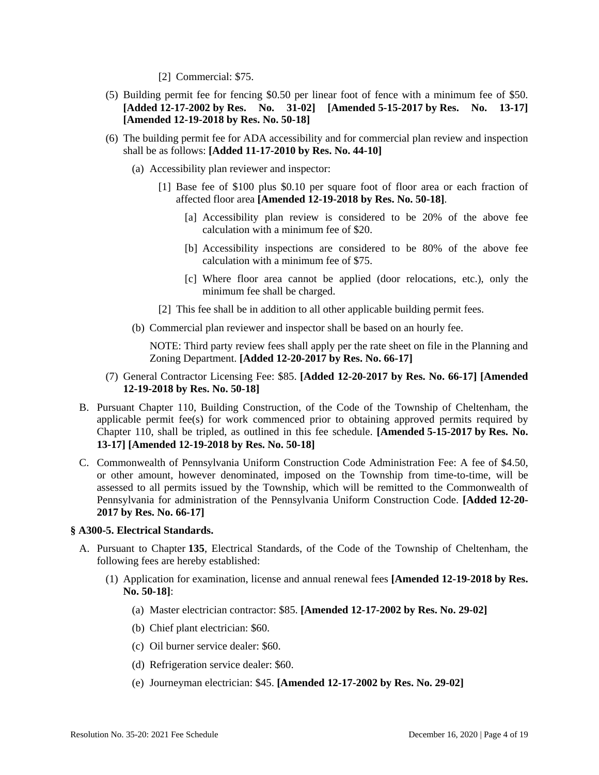[2] Commercial: \$75.

- (5) Building permit fee for fencing \$0.50 per linear foot of fence with a minimum fee of \$50. **[Added 12-17-2002 by Res. No. 31-02] [Amended 5-15-2017 by Res. No. 13-17] [Amended 12-19-2018 by Res. No. 50-18]**
- (6) The building permit fee for ADA accessibility and for commercial plan review and inspection shall be as follows: **[Added 11-17-2010 by Res. No. 44-10]** 
	- (a) Accessibility plan reviewer and inspector:
		- [1] Base fee of \$100 plus \$0.10 per square foot of floor area or each fraction of affected floor area **[Amended 12-19-2018 by Res. No. 50-18]**.
			- [a] Accessibility plan review is considered to be 20% of the above fee calculation with a minimum fee of \$20.
			- [b] Accessibility inspections are considered to be 80% of the above fee calculation with a minimum fee of \$75.
			- [c] Where floor area cannot be applied (door relocations, etc.), only the minimum fee shall be charged.
		- [2] This fee shall be in addition to all other applicable building permit fees.
	- (b) Commercial plan reviewer and inspector shall be based on an hourly fee.

NOTE: Third party review fees shall apply per the rate sheet on file in the Planning and Zoning Department. **[Added 12-20-2017 by Res. No. 66-17]** 

- (7) General Contractor Licensing Fee: \$85. **[Added 12-20-2017 by Res. No. 66-17] [Amended 12-19-2018 by Res. No. 50-18]**
- B. Pursuant Chapter 110, Building Construction, of the Code of the Township of Cheltenham, the applicable permit fee(s) for work commenced prior to obtaining approved permits required by Chapter 110, shall be tripled, as outlined in this fee schedule. **[Amended 5-15-2017 by Res. No. 13-17] [Amended 12-19-2018 by Res. No. 50-18]**
- C. Commonwealth of Pennsylvania Uniform Construction Code Administration Fee: A fee of \$4.50, or other amount, however denominated, imposed on the Township from time-to-time, will be assessed to all permits issued by the Township, which will be remitted to the Commonwealth of Pennsylvania for administration of the Pennsylvania Uniform Construction Code. **[Added 12-20- 2017 by Res. No. 66-17]**

### **§ A300-5. Electrical Standards.**

- A. Pursuant to Chapter **135**, Electrical Standards, of the Code of the Township of Cheltenham, the following fees are hereby established:
	- (1) Application for examination, license and annual renewal fees **[Amended 12-19-2018 by Res. No. 50-18]**:
		- (a) Master electrician contractor: \$85. **[Amended 12-17-2002 by Res. No. 29-02]**
		- (b) Chief plant electrician: \$60.
		- (c) Oil burner service dealer: \$60.
		- (d) Refrigeration service dealer: \$60.
		- (e) Journeyman electrician: \$45. **[Amended 12-17-2002 by Res. No. 29-02]**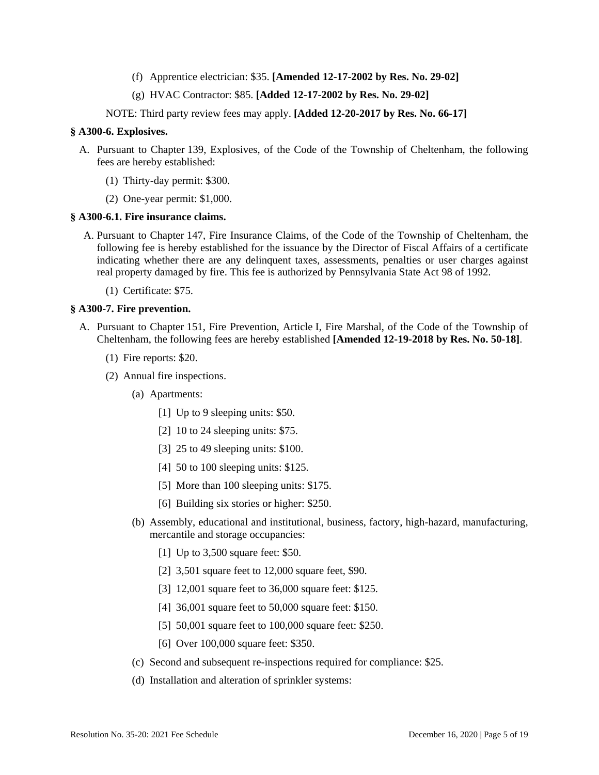- (f) Apprentice electrician: \$35. **[Amended 12-17-2002 by Res. No. 29-02]**
- (g) HVAC Contractor: \$85. **[Added 12-17-2002 by Res. No. 29-02]**

NOTE: Third party review fees may apply. **[Added 12-20-2017 by Res. No. 66-17]**

### **§ A300-6. Explosives.**

- A. Pursuant to Chapter 139, Explosives, of the Code of the Township of Cheltenham, the following fees are hereby established:
	- (1) Thirty-day permit: \$300.
	- (2) One-year permit: \$1,000.

### **§ A300-6.1. Fire insurance claims.**

- A. Pursuant to Chapter 147, Fire Insurance Claims, of the Code of the Township of Cheltenham, the following fee is hereby established for the issuance by the Director of Fiscal Affairs of a certificate indicating whether there are any delinquent taxes, assessments, penalties or user charges against real property damaged by fire. This fee is authorized by Pennsylvania State Act 98 of 1992.
	- (1) Certificate: \$75.

# **§ A300-7. Fire prevention.**

- A. Pursuant to Chapter 151, Fire Prevention, Article I, Fire Marshal, of the Code of the Township of Cheltenham, the following fees are hereby established **[Amended 12-19-2018 by Res. No. 50-18]**.
	- (1) Fire reports: \$20.
	- (2) Annual fire inspections.
		- (a) Apartments:
			- [1] Up to 9 sleeping units: \$50.
			- [2] 10 to 24 sleeping units: \$75.
			- [3] 25 to 49 sleeping units: \$100.
			- [4] 50 to 100 sleeping units: \$125.
			- [5] More than 100 sleeping units: \$175.
			- [6] Building six stories or higher: \$250.
		- (b) Assembly, educational and institutional, business, factory, high-hazard, manufacturing, mercantile and storage occupancies:
			- [1] Up to 3,500 square feet: \$50.
			- [2] 3,501 square feet to 12,000 square feet, \$90.
			- [3] 12,001 square feet to 36,000 square feet: \$125.
			- [4] 36,001 square feet to 50,000 square feet: \$150.
			- [5] 50,001 square feet to 100,000 square feet: \$250.
			- [6] Over 100,000 square feet: \$350.
		- (c) Second and subsequent re-inspections required for compliance: \$25.
		- (d) Installation and alteration of sprinkler systems: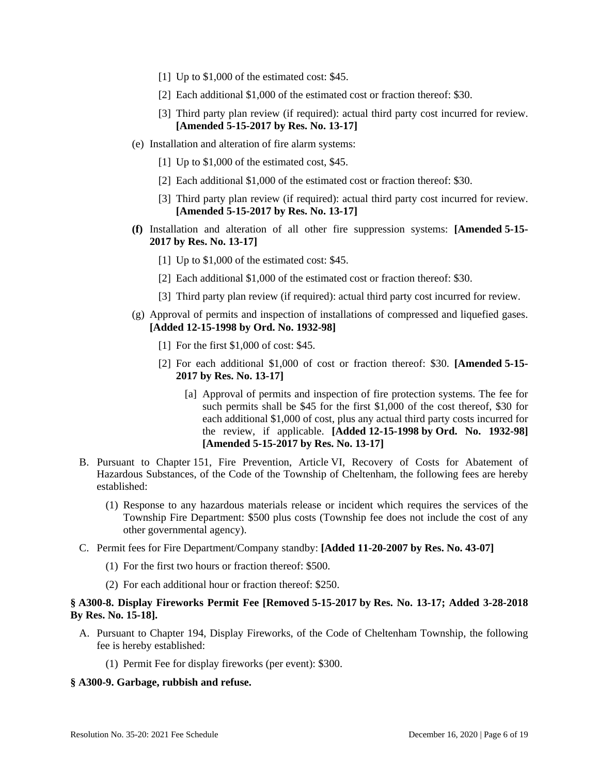- [1] Up to \$1,000 of the estimated cost: \$45.
- [2] Each additional \$1,000 of the estimated cost or fraction thereof: \$30.
- [3] Third party plan review (if required): actual third party cost incurred for review. **[Amended 5-15-2017 by Res. No. 13-17]**
- (e) Installation and alteration of fire alarm systems:
	- [1] Up to \$1,000 of the estimated cost, \$45.
	- [2] Each additional \$1,000 of the estimated cost or fraction thereof: \$30.
	- [3] Third party plan review (if required): actual third party cost incurred for review. **[Amended 5-15-2017 by Res. No. 13-17]**
- **(f)** Installation and alteration of all other fire suppression systems: **[Amended 5-15- 2017 by Res. No. 13-17]**
	- [1] Up to \$1,000 of the estimated cost: \$45.
	- [2] Each additional \$1,000 of the estimated cost or fraction thereof: \$30.
	- [3] Third party plan review (if required): actual third party cost incurred for review.
- (g) Approval of permits and inspection of installations of compressed and liquefied gases. **[Added 12-15-1998 by Ord. No. 1932-98]**
	- [1] For the first \$1,000 of cost: \$45.
	- [2] For each additional \$1,000 of cost or fraction thereof: \$30. **[Amended 5-15- 2017 by Res. No. 13-17]**
		- [a] Approval of permits and inspection of fire protection systems. The fee for such permits shall be \$45 for the first \$1,000 of the cost thereof, \$30 for each additional \$1,000 of cost, plus any actual third party costs incurred for the review, if applicable. **[Added 12-15-1998 by Ord. No. 1932-98] [Amended 5-15-2017 by Res. No. 13-17]**
- B. Pursuant to Chapter 151, Fire Prevention, Article VI, Recovery of Costs for Abatement of Hazardous Substances, of the Code of the Township of Cheltenham, the following fees are hereby established:
	- (1) Response to any hazardous materials release or incident which requires the services of the Township Fire Department: \$500 plus costs (Township fee does not include the cost of any other governmental agency).
- C. Permit fees for Fire Department/Company standby: **[Added 11-20-2007 by Res. No. 43-07]**
	- (1) For the first two hours or fraction thereof: \$500.
	- (2) For each additional hour or fraction thereof: \$250.

# **§ A300-8. Display Fireworks Permit Fee [Removed 5-15-2017 by Res. No. 13-17; Added 3-28-2018 By Res. No. 15-18].**

- A. Pursuant to Chapter 194, Display Fireworks, of the Code of Cheltenham Township, the following fee is hereby established:
	- (1) Permit Fee for display fireworks (per event): \$300.

### **§ A300-9. Garbage, rubbish and refuse.**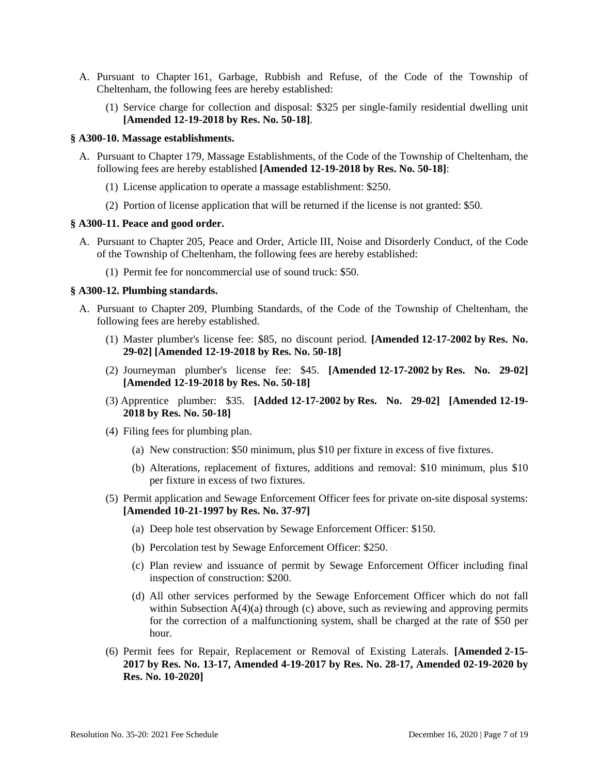- A. Pursuant to Chapter 161, Garbage, Rubbish and Refuse, of the Code of the Township of Cheltenham, the following fees are hereby established:
	- (1) Service charge for collection and disposal: \$325 per single-family residential dwelling unit **[Amended 12-19-2018 by Res. No. 50-18]**.

### **§ A300-10. Massage establishments.**

- A. Pursuant to Chapter 179, Massage Establishments, of the Code of the Township of Cheltenham, the following fees are hereby established **[Amended 12-19-2018 by Res. No. 50-18]**:
	- (1) License application to operate a massage establishment: \$250.
	- (2) Portion of license application that will be returned if the license is not granted: \$50.

#### **§ A300-11. Peace and good order.**

- A. Pursuant to Chapter 205, Peace and Order, Article III, Noise and Disorderly Conduct, of the Code of the Township of Cheltenham, the following fees are hereby established:
	- (1) Permit fee for noncommercial use of sound truck: \$50.

#### **§ A300-12. Plumbing standards.**

- A. Pursuant to Chapter 209, Plumbing Standards, of the Code of the Township of Cheltenham, the following fees are hereby established.
	- (1) Master plumber's license fee: \$85, no discount period. **[Amended 12-17-2002 by Res. No. 29-02] [Amended 12-19-2018 by Res. No. 50-18]**
	- (2) Journeyman plumber's license fee: \$45. **[Amended 12-17-2002 by Res. No. 29-02] [Amended 12-19-2018 by Res. No. 50-18]**
	- (3) Apprentice plumber: \$35. **[Added 12-17-2002 by Res. No. 29-02] [Amended 12-19- 2018 by Res. No. 50-18]**
	- (4) Filing fees for plumbing plan.
		- (a) New construction: \$50 minimum, plus \$10 per fixture in excess of five fixtures.
		- (b) Alterations, replacement of fixtures, additions and removal: \$10 minimum, plus \$10 per fixture in excess of two fixtures.
	- (5) Permit application and Sewage Enforcement Officer fees for private on-site disposal systems: **[Amended 10-21-1997 by Res. No. 37-97]**
		- (a) Deep hole test observation by Sewage Enforcement Officer: \$150.
		- (b) Percolation test by Sewage Enforcement Officer: \$250.
		- (c) Plan review and issuance of permit by Sewage Enforcement Officer including final inspection of construction: \$200.
		- (d) All other services performed by the Sewage Enforcement Officer which do not fall within Subsection A(4)(a) through (c) above, such as reviewing and approving permits for the correction of a malfunctioning system, shall be charged at the rate of \$50 per hour.
	- (6) Permit fees for Repair, Replacement or Removal of Existing Laterals. **[Amended 2-15- 2017 by Res. No. 13-17, Amended 4-19-2017 by Res. No. 28-17, Amended 02-19-2020 by Res. No. 10-2020]**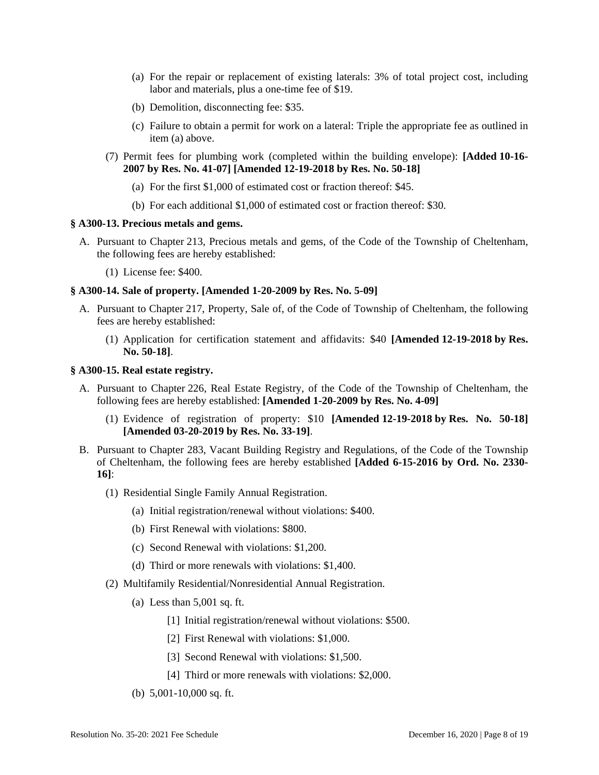- (a) For the repair or replacement of existing laterals: 3% of total project cost, including labor and materials, plus a one-time fee of \$19.
- (b) Demolition, disconnecting fee: \$35.
- (c) Failure to obtain a permit for work on a lateral: Triple the appropriate fee as outlined in item (a) above.
- (7) Permit fees for plumbing work (completed within the building envelope): **[Added 10-16- 2007 by Res. No. 41-07] [Amended 12-19-2018 by Res. No. 50-18]**
	- (a) For the first \$1,000 of estimated cost or fraction thereof: \$45.
	- (b) For each additional \$1,000 of estimated cost or fraction thereof: \$30.

#### **§ A300-13. Precious metals and gems.**

- A. Pursuant to Chapter 213, Precious metals and gems, of the Code of the Township of Cheltenham, the following fees are hereby established:
	- (1) License fee: \$400.

# **§ A300-14. Sale of property. [Amended 1-20-2009 by Res. No. 5-09]**

- A. Pursuant to Chapter 217, Property, Sale of, of the Code of Township of Cheltenham, the following fees are hereby established:
	- (1) Application for certification statement and affidavits: \$40 **[Amended 12-19-2018 by Res. No. 50-18]**.

#### **§ A300-15. Real estate registry.**

- A. Pursuant to Chapter 226, Real Estate Registry, of the Code of the Township of Cheltenham, the following fees are hereby established: **[Amended 1-20-2009 by Res. No. 4-09]**
	- (1) Evidence of registration of property: \$10 **[Amended 12-19-2018 by Res. No. 50-18] [Amended 03-20-2019 by Res. No. 33-19]**.
- B. Pursuant to Chapter 283, Vacant Building Registry and Regulations, of the Code of the Township of Cheltenham, the following fees are hereby established **[Added 6-15-2016 by Ord. No. 2330- 16]**:
	- (1) Residential Single Family Annual Registration.
		- (a) Initial registration/renewal without violations: \$400.
		- (b) First Renewal with violations: \$800.
		- (c) Second Renewal with violations: \$1,200.
		- (d) Third or more renewals with violations: \$1,400.
	- (2) Multifamily Residential/Nonresidential Annual Registration.
		- (a) Less than 5,001 sq. ft.
			- [1] Initial registration/renewal without violations: \$500.
			- [2] First Renewal with violations: \$1,000.
			- [3] Second Renewal with violations: \$1,500.
			- [4] Third or more renewals with violations: \$2,000.
		- (b) 5,001-10,000 sq. ft.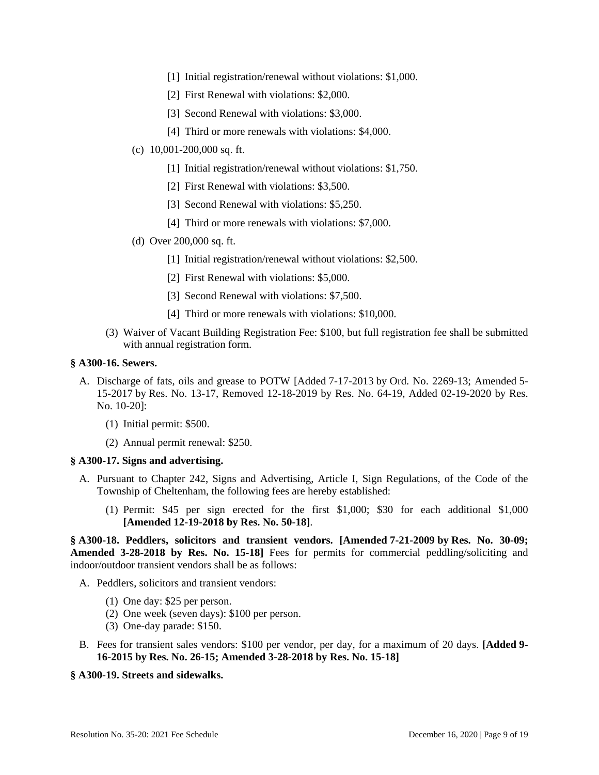- [1] Initial registration/renewal without violations: \$1,000.
- [2] First Renewal with violations: \$2,000.
- [3] Second Renewal with violations: \$3,000.
- [4] Third or more renewals with violations: \$4,000.
- (c) 10,001-200,000 sq. ft.
	- [1] Initial registration/renewal without violations: \$1,750.
	- [2] First Renewal with violations: \$3,500.
	- [3] Second Renewal with violations: \$5,250.
	- [4] Third or more renewals with violations: \$7,000.
- (d) Over 200,000 sq. ft.
	- [1] Initial registration/renewal without violations: \$2,500.
	- [2] First Renewal with violations: \$5,000.
	- [3] Second Renewal with violations: \$7,500.
	- [4] Third or more renewals with violations: \$10,000.
- (3) Waiver of Vacant Building Registration Fee: \$100, but full registration fee shall be submitted with annual registration form.

#### **§ A300-16. Sewers.**

- A. Discharge of fats, oils and grease to POTW [Added 7-17-2013 by Ord. No. 2269-13; Amended 5- 15-2017 by Res. No. 13-17, Removed 12-18-2019 by Res. No. 64-19, Added 02-19-2020 by Res. No. 10-20]:
	- (1) Initial permit: \$500.
	- (2) Annual permit renewal: \$250.

#### **§ A300-17. Signs and advertising.**

- A. Pursuant to Chapter 242, Signs and Advertising, Article I, Sign Regulations, of the Code of the Township of Cheltenham, the following fees are hereby established:
	- (1) Permit: \$45 per sign erected for the first \$1,000; \$30 for each additional \$1,000 **[Amended 12-19-2018 by Res. No. 50-18]**.

**§ A300-18. Peddlers, solicitors and transient vendors. [Amended 7-21-2009 by Res. No. 30-09;**  Amended 3-28-2018 by Res. No. 15-18] Fees for permits for commercial peddling/soliciting and indoor/outdoor transient vendors shall be as follows:

- A. Peddlers, solicitors and transient vendors:
	- (1) One day: \$25 per person.
	- (2) One week (seven days): \$100 per person.
	- (3) One-day parade: \$150.
- B. Fees for transient sales vendors: \$100 per vendor, per day, for a maximum of 20 days. **[Added 9- 16-2015 by Res. No. 26-15; Amended 3-28-2018 by Res. No. 15-18]**

### **§ A300-19. Streets and sidewalks.**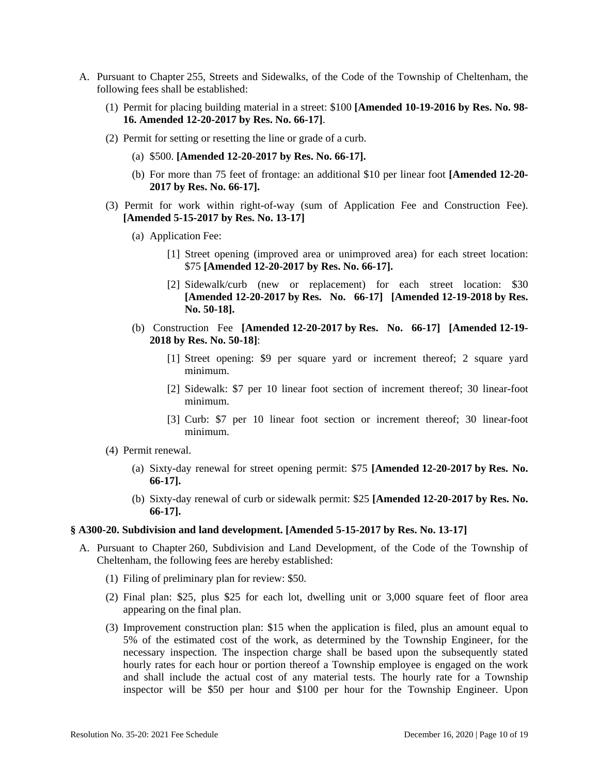- A. Pursuant to Chapter 255, Streets and Sidewalks, of the Code of the Township of Cheltenham, the following fees shall be established:
	- (1) Permit for placing building material in a street: \$100 **[Amended 10-19-2016 by Res. No. 98- 16. Amended 12-20-2017 by Res. No. 66-17]**.
	- (2) Permit for setting or resetting the line or grade of a curb.
		- (a) \$500. **[Amended 12-20-2017 by Res. No. 66-17].**
		- (b) For more than 75 feet of frontage: an additional \$10 per linear foot **[Amended 12-20- 2017 by Res. No. 66-17].**
	- (3) Permit for work within right-of-way (sum of Application Fee and Construction Fee). **[Amended 5-15-2017 by Res. No. 13-17]** 
		- (a) Application Fee:
			- [1] Street opening (improved area or unimproved area) for each street location: \$75 **[Amended 12-20-2017 by Res. No. 66-17].**
			- [2] Sidewalk/curb (new or replacement) for each street location: \$30 **[Amended 12-20-2017 by Res. No. 66-17] [Amended 12-19-2018 by Res. No. 50-18].**
		- (b) Construction Fee **[Amended 12-20-2017 by Res. No. 66-17] [Amended 12-19- 2018 by Res. No. 50-18]**:
			- [1] Street opening: \$9 per square yard or increment thereof; 2 square yard minimum.
			- [2] Sidewalk: \$7 per 10 linear foot section of increment thereof; 30 linear-foot minimum.
			- [3] Curb: \$7 per 10 linear foot section or increment thereof; 30 linear-foot minimum.
	- (4) Permit renewal.
		- (a) Sixty-day renewal for street opening permit: \$75 **[Amended 12-20-2017 by Res. No. 66-17].**
		- (b) Sixty-day renewal of curb or sidewalk permit: \$25 **[Amended 12-20-2017 by Res. No. 66-17].**

### **§ A300-20. Subdivision and land development. [Amended 5-15-2017 by Res. No. 13-17]**

- A. Pursuant to Chapter 260, Subdivision and Land Development, of the Code of the Township of Cheltenham, the following fees are hereby established:
	- (1) Filing of preliminary plan for review: \$50.
	- (2) Final plan: \$25, plus \$25 for each lot, dwelling unit or 3,000 square feet of floor area appearing on the final plan.
	- (3) Improvement construction plan: \$15 when the application is filed, plus an amount equal to 5% of the estimated cost of the work, as determined by the Township Engineer, for the necessary inspection. The inspection charge shall be based upon the subsequently stated hourly rates for each hour or portion thereof a Township employee is engaged on the work and shall include the actual cost of any material tests. The hourly rate for a Township inspector will be \$50 per hour and \$100 per hour for the Township Engineer. Upon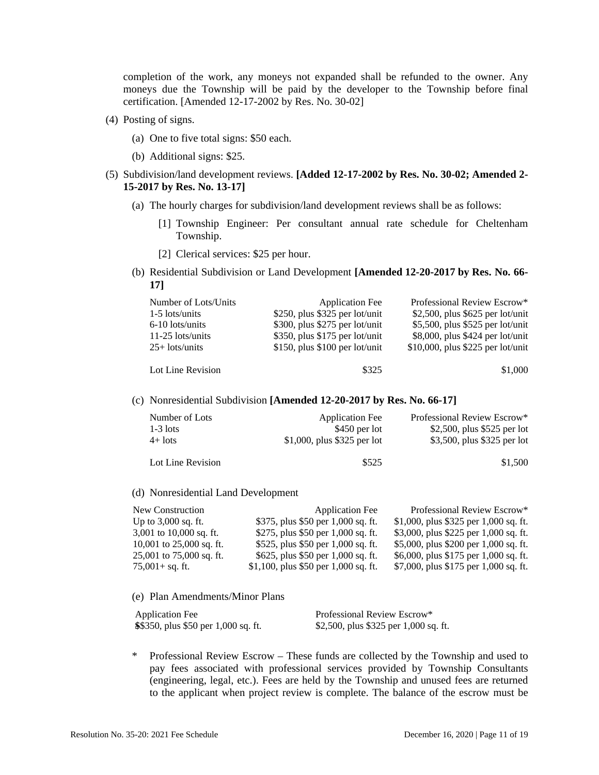completion of the work, any moneys not expanded shall be refunded to the owner. Any moneys due the Township will be paid by the developer to the Township before final certification. [Amended 12-17-2002 by Res. No. 30-02]

- (4) Posting of signs.
	- (a) One to five total signs: \$50 each.
	- (b) Additional signs: \$25.
- (5) Subdivision/land development reviews. **[Added 12-17-2002 by Res. No. 30-02; Amended 2- 15-2017 by Res. No. 13-17]**
	- (a) The hourly charges for subdivision/land development reviews shall be as follows:
		- [1] Township Engineer: Per consultant annual rate schedule for Cheltenham Township.
		- [2] Clerical services: \$25 per hour.
	- (b) Residential Subdivision or Land Development **[Amended 12-20-2017 by Res. No. 66- 17]**

| Number of Lots/Units | <b>Application Fee</b>            | Professional Review Escrow*          |
|----------------------|-----------------------------------|--------------------------------------|
| $1-5$ lots/units     | $$250, plus $325$ per lot/unit    | $$2,500$ , plus $$625$ per lot/unit  |
| $6-10$ lots/units    | $$300, plus $275$ per lot/unit    | $$5,500$ , plus \$525 per lot/unit   |
| $11-25$ lots/units   | $$350, plus $175$ per lot/unit    | \$8,000, plus \$424 per lot/unit     |
| $25+$ lots/units     | $$150$ , plus $$100$ per lot/unit | $$10,000$ , plus $$225$ per lot/unit |
| Lot Line Revision    | \$325                             | \$1,000                              |

(c) Nonresidential Subdivision **[Amended 12-20-2017 by Res. No. 66-17]**

| Number of Lots    | <b>Application Fee</b>      | Professional Review Escrow* |
|-------------------|-----------------------------|-----------------------------|
| $1-3$ lots        | \$450 per lot               | \$2,500, plus \$525 per lot |
| $4+$ lots         | \$1,000, plus \$325 per lot | \$3,500, plus \$325 per lot |
| Lot Line Revision | \$525                       | \$1,500                     |

#### (d) Nonresidential Land Development

| New Construction         | <b>Application Fee</b>               | Professional Review Escrow*           |
|--------------------------|--------------------------------------|---------------------------------------|
| Up to $3,000$ sq. ft.    | \$375, plus \$50 per 1,000 sq. ft.   | \$1,000, plus \$325 per 1,000 sq. ft. |
| 3,001 to 10,000 sq. ft.  | \$275, plus \$50 per 1,000 sq. ft.   | \$3,000, plus \$225 per 1,000 sq. ft. |
| 10,001 to 25,000 sq. ft. | \$525, plus \$50 per 1,000 sq. ft.   | \$5,000, plus \$200 per 1,000 sq. ft. |
| 25,001 to 75,000 sq. ft. | \$625, plus \$50 per 1,000 sq. ft.   | \$6,000, plus \$175 per 1,000 sq. ft. |
| 75,001+ sq. ft.          | \$1,100, plus \$50 per 1,000 sq. ft. | \$7,000, plus \$175 per 1,000 sq. ft. |

(e) Plan Amendments/Minor Plans

| <b>Application Fee</b>               | Professional Review Escrow*           |
|--------------------------------------|---------------------------------------|
| \$\$350, plus \$50 per 1,000 sq. ft. | \$2,500, plus \$325 per 1,000 sq. ft. |

\* Professional Review Escrow – These funds are collected by the Township and used to pay fees associated with professional services provided by Township Consultants (engineering, legal, etc.). Fees are held by the Township and unused fees are returned to the applicant when project review is complete. The balance of the escrow must be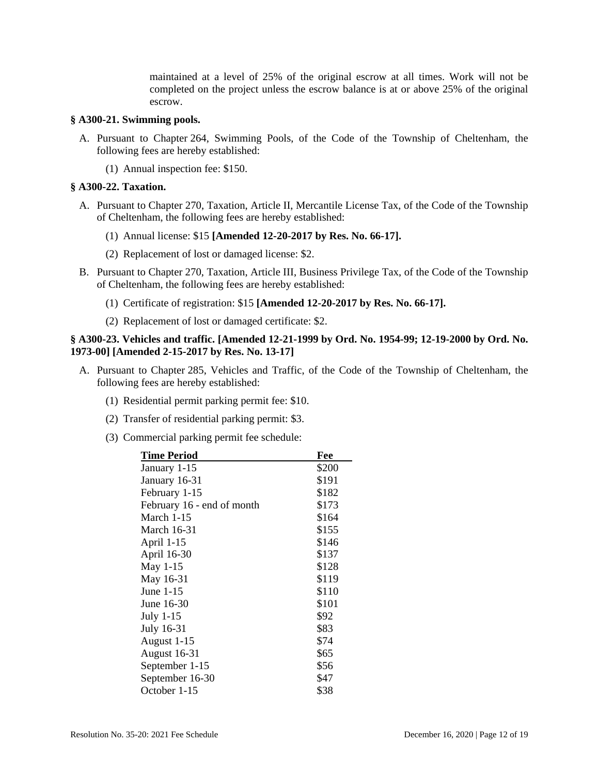maintained at a level of 25% of the original escrow at all times. Work will not be completed on the project unless the escrow balance is at or above 25% of the original escrow.

### **§ A300-21. Swimming pools.**

- A. Pursuant to Chapter 264, Swimming Pools, of the Code of the Township of Cheltenham, the following fees are hereby established:
	- (1) Annual inspection fee: \$150.

#### **§ A300-22. Taxation.**

- A. Pursuant to Chapter 270, Taxation, Article II, Mercantile License Tax, of the Code of the Township of Cheltenham, the following fees are hereby established:
	- (1) Annual license: \$15 **[Amended 12-20-2017 by Res. No. 66-17].**
	- (2) Replacement of lost or damaged license: \$2.
- B. Pursuant to Chapter 270, Taxation, Article III, Business Privilege Tax, of the Code of the Township of Cheltenham, the following fees are hereby established:
	- (1) Certificate of registration: \$15 **[Amended 12-20-2017 by Res. No. 66-17].**
	- (2) Replacement of lost or damaged certificate: \$2.

# **§ A300-23. Vehicles and traffic. [Amended 12-21-1999 by Ord. No. 1954-99; 12-19-2000 by Ord. No. 1973-00] [Amended 2-15-2017 by Res. No. 13-17]**

- A. Pursuant to Chapter 285, Vehicles and Traffic, of the Code of the Township of Cheltenham, the following fees are hereby established:
	- (1) Residential permit parking permit fee: \$10.
	- (2) Transfer of residential parking permit: \$3.
	- (3) Commercial parking permit fee schedule:

| <b>Time Period</b>         | Fee   |
|----------------------------|-------|
| January 1-15               | \$200 |
| January 16-31              | \$191 |
| February 1-15              | \$182 |
| February 16 - end of month | \$173 |
| March $1-15$               | \$164 |
| March 16-31                | \$155 |
| April 1-15                 | \$146 |
| April 16-30                | \$137 |
| May 1-15                   | \$128 |
| May 16-31                  | \$119 |
| June 1-15                  | \$110 |
| June 16-30                 | \$101 |
| July 1-15                  | \$92  |
| July 16-31                 | \$83  |
| August 1-15                | \$74  |
| <b>August 16-31</b>        | \$65  |
| September 1-15             | \$56  |
| September 16-30            | \$47  |
| October 1-15               | \$38  |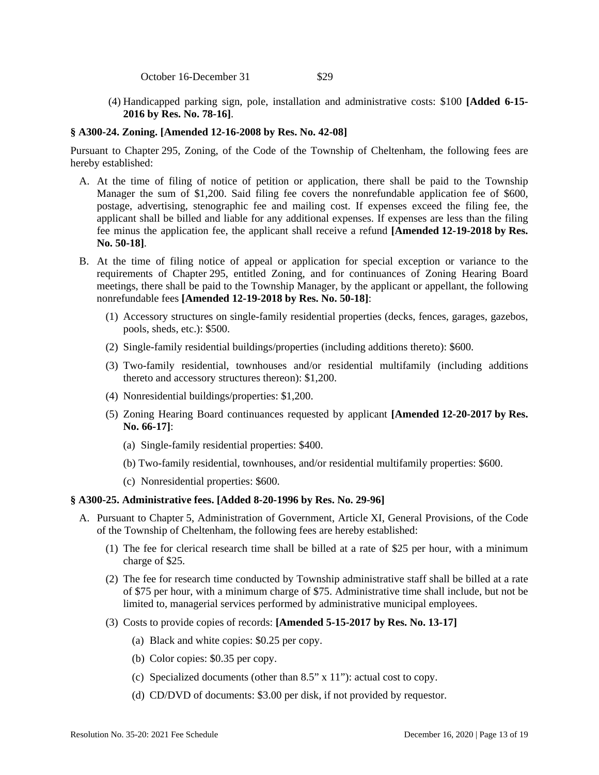October 16-December 31 \$29

 (4) Handicapped parking sign, pole, installation and administrative costs: \$100 **[Added 6-15- 2016 by Res. No. 78-16]**.

# **§ A300-24. Zoning. [Amended 12-16-2008 by Res. No. 42-08]**

Pursuant to Chapter 295, Zoning, of the Code of the Township of Cheltenham, the following fees are hereby established:

- A. At the time of filing of notice of petition or application, there shall be paid to the Township Manager the sum of \$1,200. Said filing fee covers the nonrefundable application fee of \$600, postage, advertising, stenographic fee and mailing cost. If expenses exceed the filing fee, the applicant shall be billed and liable for any additional expenses. If expenses are less than the filing fee minus the application fee, the applicant shall receive a refund **[Amended 12-19-2018 by Res. No. 50-18]**.
- B. At the time of filing notice of appeal or application for special exception or variance to the requirements of Chapter 295, entitled Zoning, and for continuances of Zoning Hearing Board meetings, there shall be paid to the Township Manager, by the applicant or appellant, the following nonrefundable fees **[Amended 12-19-2018 by Res. No. 50-18]**:
	- (1) Accessory structures on single-family residential properties (decks, fences, garages, gazebos, pools, sheds, etc.): \$500.
	- (2) Single-family residential buildings/properties (including additions thereto): \$600.
	- (3) Two-family residential, townhouses and/or residential multifamily (including additions thereto and accessory structures thereon): \$1,200.
	- (4) Nonresidential buildings/properties: \$1,200.
	- (5) Zoning Hearing Board continuances requested by applicant **[Amended 12-20-2017 by Res. No. 66-17]**:
		- (a) Single-family residential properties: \$400.
		- (b) Two-family residential, townhouses, and/or residential multifamily properties: \$600.
		- (c) Nonresidential properties: \$600.

## **§ A300-25. Administrative fees. [Added 8-20-1996 by Res. No. 29-96]**

- A. Pursuant to Chapter 5, Administration of Government, Article XI, General Provisions, of the Code of the Township of Cheltenham, the following fees are hereby established:
	- (1) The fee for clerical research time shall be billed at a rate of \$25 per hour, with a minimum charge of \$25.
	- (2) The fee for research time conducted by Township administrative staff shall be billed at a rate of \$75 per hour, with a minimum charge of \$75. Administrative time shall include, but not be limited to, managerial services performed by administrative municipal employees.
	- (3) Costs to provide copies of records: **[Amended 5-15-2017 by Res. No. 13-17]** 
		- (a) Black and white copies: \$0.25 per copy.
		- (b) Color copies: \$0.35 per copy.
		- (c) Specialized documents (other than 8.5" x 11"): actual cost to copy.
		- (d) CD/DVD of documents: \$3.00 per disk, if not provided by requestor.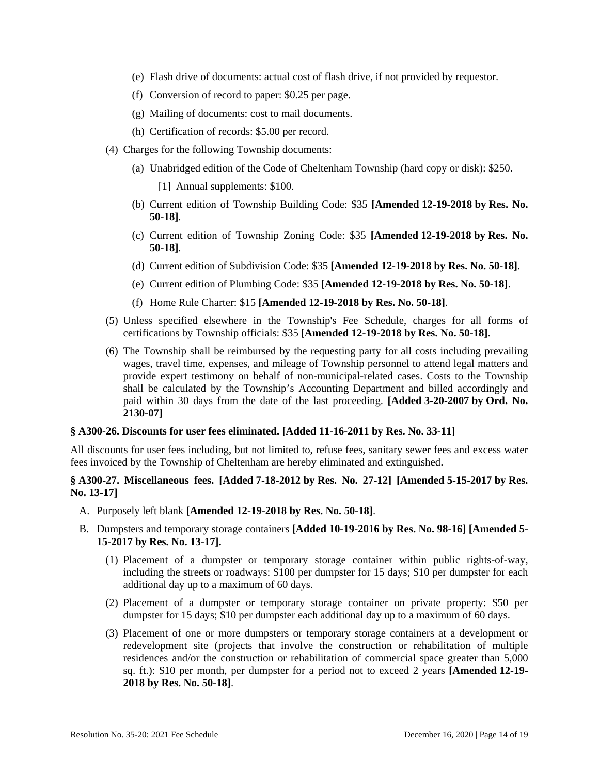- (e) Flash drive of documents: actual cost of flash drive, if not provided by requestor.
- (f) Conversion of record to paper: \$0.25 per page.
- (g) Mailing of documents: cost to mail documents.
- (h) Certification of records: \$5.00 per record.
- (4) Charges for the following Township documents:
	- (a) Unabridged edition of the Code of Cheltenham Township (hard copy or disk): \$250.
		- [1] Annual supplements: \$100.
	- (b) Current edition of Township Building Code: \$35 **[Amended 12-19-2018 by Res. No. 50-18]**.
	- (c) Current edition of Township Zoning Code: \$35 **[Amended 12-19-2018 by Res. No. 50-18]**.
	- (d) Current edition of Subdivision Code: \$35 **[Amended 12-19-2018 by Res. No. 50-18]**.
	- (e) Current edition of Plumbing Code: \$35 **[Amended 12-19-2018 by Res. No. 50-18]**.
	- (f) Home Rule Charter: \$15 **[Amended 12-19-2018 by Res. No. 50-18]**.
- (5) Unless specified elsewhere in the Township's Fee Schedule, charges for all forms of certifications by Township officials: \$35 **[Amended 12-19-2018 by Res. No. 50-18]**.
- (6) The Township shall be reimbursed by the requesting party for all costs including prevailing wages, travel time, expenses, and mileage of Township personnel to attend legal matters and provide expert testimony on behalf of non-municipal-related cases. Costs to the Township shall be calculated by the Township's Accounting Department and billed accordingly and paid within 30 days from the date of the last proceeding. **[Added 3-20-2007 by Ord. No. 2130-07]**

### **§ A300-26. Discounts for user fees eliminated. [Added 11-16-2011 by Res. No. 33-11]**

All discounts for user fees including, but not limited to, refuse fees, sanitary sewer fees and excess water fees invoiced by the Township of Cheltenham are hereby eliminated and extinguished.

# **§ A300-27. Miscellaneous fees. [Added 7-18-2012 by Res. No. 27-12] [Amended 5-15-2017 by Res. No. 13-17]**

- A. Purposely left blank **[Amended 12-19-2018 by Res. No. 50-18]**.
- B. Dumpsters and temporary storage containers **[Added 10-19-2016 by Res. No. 98-16] [Amended 5- 15-2017 by Res. No. 13-17].**
	- (1) Placement of a dumpster or temporary storage container within public rights-of-way, including the streets or roadways: \$100 per dumpster for 15 days; \$10 per dumpster for each additional day up to a maximum of 60 days.
	- (2) Placement of a dumpster or temporary storage container on private property: \$50 per dumpster for 15 days; \$10 per dumpster each additional day up to a maximum of 60 days.
	- (3) Placement of one or more dumpsters or temporary storage containers at a development or redevelopment site (projects that involve the construction or rehabilitation of multiple residences and/or the construction or rehabilitation of commercial space greater than 5,000 sq. ft.): \$10 per month, per dumpster for a period not to exceed 2 years **[Amended 12-19- 2018 by Res. No. 50-18]**.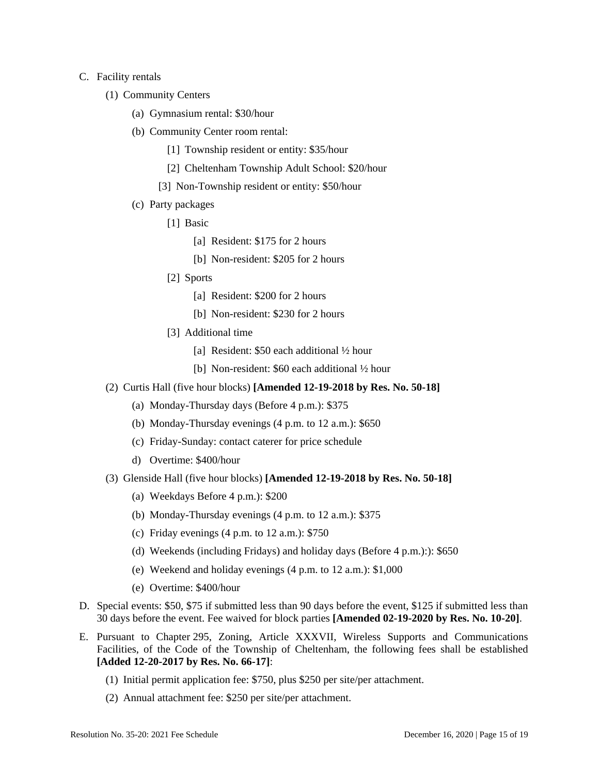### C. Facility rentals

- (1) Community Centers
	- (a) Gymnasium rental: \$30/hour
	- (b) Community Center room rental:
		- [1] Township resident or entity: \$35/hour
		- [2] Cheltenham Township Adult School: \$20/hour
		- [3] Non-Township resident or entity: \$50/hour
	- (c) Party packages
		- [1] Basic
			- [a] Resident: \$175 for 2 hours
			- [b] Non-resident: \$205 for 2 hours
		- [2] Sports
			- [a] Resident: \$200 for 2 hours
			- [b] Non-resident: \$230 for 2 hours
		- [3] Additional time
			- [a] Resident: \$50 each additional  $\frac{1}{2}$  hour
			- [b] Non-resident: \$60 each additional  $\frac{1}{2}$  hour
- (2) Curtis Hall (five hour blocks) **[Amended 12-19-2018 by Res. No. 50-18]**
	- (a) Monday-Thursday days (Before 4 p.m.): \$375
	- (b) Monday-Thursday evenings (4 p.m. to 12 a.m.): \$650
	- (c) Friday-Sunday: contact caterer for price schedule
	- d) Overtime: \$400/hour
- (3) Glenside Hall (five hour blocks) **[Amended 12-19-2018 by Res. No. 50-18]**
	- (a) Weekdays Before 4 p.m.): \$200
	- (b) Monday-Thursday evenings (4 p.m. to 12 a.m.): \$375
	- (c) Friday evenings  $(4 \text{ p.m. to } 12 \text{ a.m.})$ : \$750
	- (d) Weekends (including Fridays) and holiday days (Before 4 p.m.):): \$650
	- (e) Weekend and holiday evenings (4 p.m. to 12 a.m.): \$1,000
	- (e) Overtime: \$400/hour
- D. Special events: \$50, \$75 if submitted less than 90 days before the event, \$125 if submitted less than 30 days before the event. Fee waived for block parties **[Amended 02-19-2020 by Res. No. 10-20]**.
- E. Pursuant to Chapter 295, Zoning, Article XXXVII, Wireless Supports and Communications Facilities, of the Code of the Township of Cheltenham, the following fees shall be established **[Added 12-20-2017 by Res. No. 66-17]**:
	- (1) Initial permit application fee: \$750, plus \$250 per site/per attachment.
	- (2) Annual attachment fee: \$250 per site/per attachment.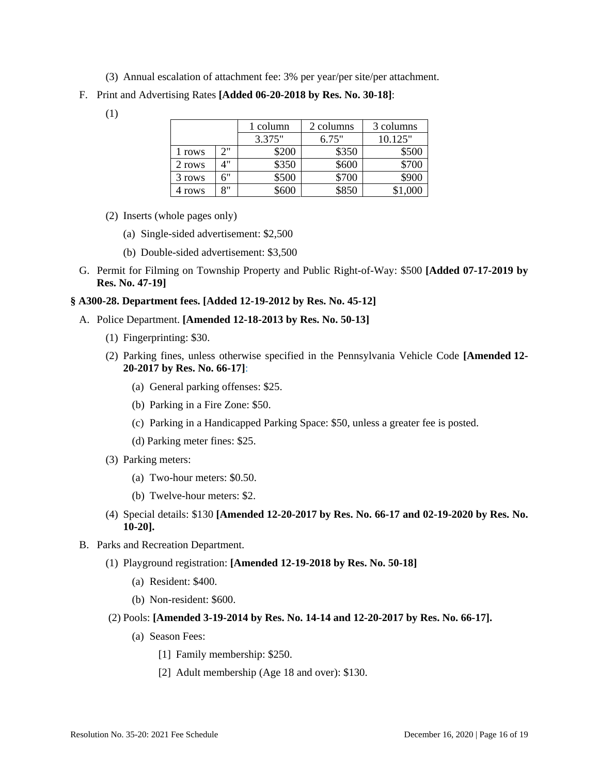- (3) Annual escalation of attachment fee: 3% per year/per site/per attachment.
- F. Print and Advertising Rates **[Added 06-20-2018 by Res. No. 30-18]**:
	- (1)

|        |    | 1 column | 2 columns | 3 columns |
|--------|----|----------|-----------|-----------|
|        |    | 3.375"   | 6.75"     | 10.125"   |
| l rows | つ" | \$200    | \$350     | \$500     |
| 2 rows |    | \$350    | \$600     | \$700     |
| 3 rows | 6" | \$500    | \$700     | \$900     |
| 4 rows | 8" | \$600    | \$850     |           |

- (2) Inserts (whole pages only)
	- (a) Single-sided advertisement: \$2,500
	- (b) Double-sided advertisement: \$3,500
- G. Permit for Filming on Township Property and Public Right-of-Way: \$500 **[Added 07-17-2019 by Res. No. 47-19]**

## **§ A300-28. Department fees. [Added 12-19-2012 by Res. No. 45-12]**

- A. Police Department. **[Amended 12-18-2013 by Res. No. 50-13]**
	- (1) Fingerprinting: \$30.
	- (2) Parking fines, unless otherwise specified in the Pennsylvania Vehicle Code **[Amended 12- 20-2017 by Res. No. 66-17]**:
		- (a) General parking offenses: \$25.
		- (b) Parking in a Fire Zone: \$50.
		- (c) Parking in a Handicapped Parking Space: \$50, unless a greater fee is posted.
		- (d) Parking meter fines: \$25.
	- (3) Parking meters:
		- (a) Two-hour meters: \$0.50.
		- (b) Twelve-hour meters: \$2.
	- (4) Special details: \$130 **[Amended 12-20-2017 by Res. No. 66-17 and 02-19-2020 by Res. No. 10-20].**
- B. Parks and Recreation Department.
	- (1) Playground registration: **[Amended 12-19-2018 by Res. No. 50-18]**
		- (a) Resident: \$400.
		- (b) Non-resident: \$600.
	- (2) Pools: **[Amended 3-19-2014 by Res. No. 14-14 and 12-20-2017 by Res. No. 66-17].**
		- (a) Season Fees:
			- [1] Family membership: \$250.
			- [2] Adult membership (Age 18 and over): \$130.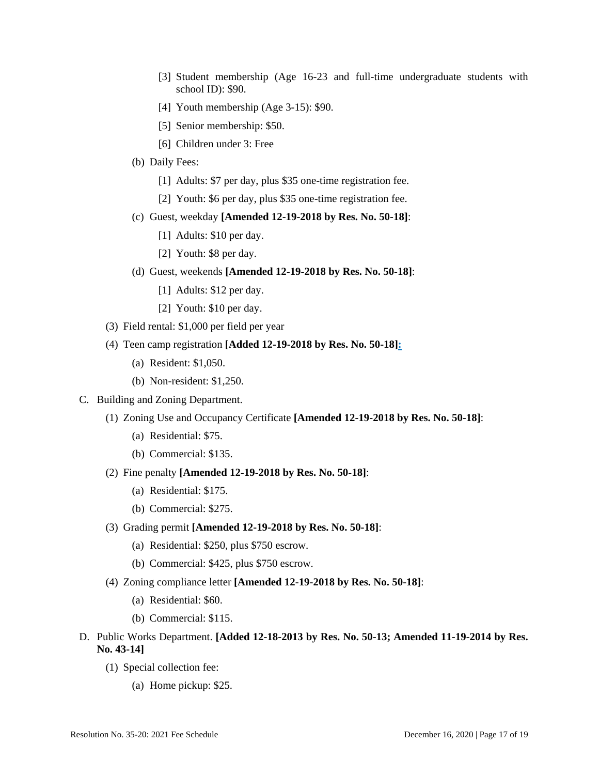- [3] Student membership (Age 16-23 and full-time undergraduate students with school ID): \$90.
- [4] Youth membership (Age 3-15): \$90.
- [5] Senior membership: \$50.
- [6] Children under 3: Free
- (b) Daily Fees:
	- [1] Adults: \$7 per day, plus \$35 one-time registration fee.
	- [2] Youth: \$6 per day, plus \$35 one-time registration fee.
- (c) Guest, weekday **[Amended 12-19-2018 by Res. No. 50-18]**:
	- [1] Adults: \$10 per day.
	- [2] Youth: \$8 per day.
- (d) Guest, weekends **[Amended 12-19-2018 by Res. No. 50-18]**:
	- [1] Adults: \$12 per day.
	- [2] Youth: \$10 per day.
- (3) Field rental: \$1,000 per field per year
- (4) Teen camp registration **[Added 12-19-2018 by Res. No. 50-18]:** 
	- (a) Resident: \$1,050.
	- (b) Non-resident: \$1,250.
- C. Building and Zoning Department.
	- (1) Zoning Use and Occupancy Certificate **[Amended 12-19-2018 by Res. No. 50-18]**:
		- (a) Residential: \$75.
		- (b) Commercial: \$135.
	- (2) Fine penalty **[Amended 12-19-2018 by Res. No. 50-18]**:
		- (a) Residential: \$175.
		- (b) Commercial: \$275.
	- (3) Grading permit **[Amended 12-19-2018 by Res. No. 50-18]**:
		- (a) Residential: \$250, plus \$750 escrow.
		- (b) Commercial: \$425, plus \$750 escrow.
	- (4) Zoning compliance letter **[Amended 12-19-2018 by Res. No. 50-18]**:
		- (a) Residential: \$60.
		- (b) Commercial: \$115.
- D. Public Works Department. **[Added 12-18-2013 by Res. No. 50-13; Amended 11-19-2014 by Res. No. 43-14]**
	- (1) Special collection fee:
		- (a) Home pickup: \$25.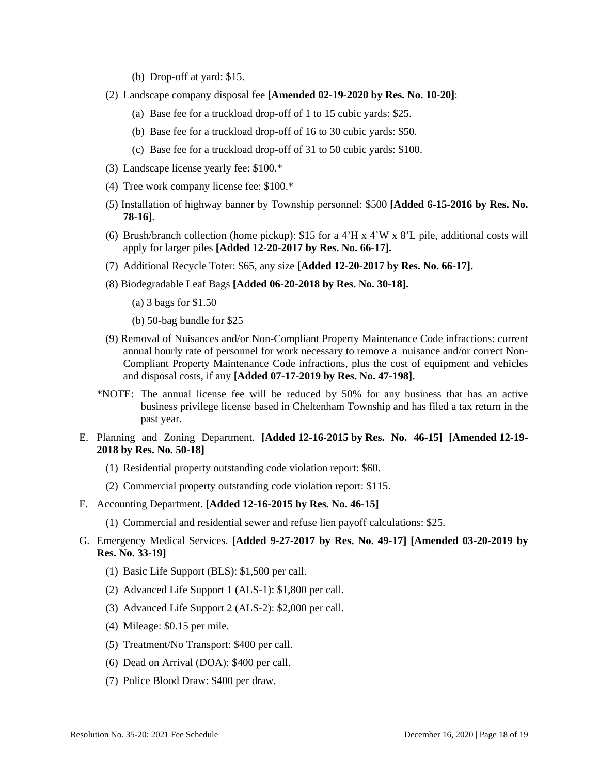- (b) Drop-off at yard: \$15.
- (2) Landscape company disposal fee **[Amended 02-19-2020 by Res. No. 10-20]**:
	- (a) Base fee for a truckload drop-off of 1 to 15 cubic yards: \$25.
	- (b) Base fee for a truckload drop-off of 16 to 30 cubic yards: \$50.
	- (c) Base fee for a truckload drop-off of 31 to 50 cubic yards: \$100.
- (3) Landscape license yearly fee: \$100.\*
- (4) Tree work company license fee: \$100.\*
- (5) Installation of highway banner by Township personnel: \$500 **[Added 6-15-2016 by Res. No. 78-16]**.
- (6) Brush/branch collection (home pickup): \$15 for a 4'H x 4'W x 8'L pile, additional costs will apply for larger piles **[Added 12-20-2017 by Res. No. 66-17].**
- (7) Additional Recycle Toter: \$65, any size **[Added 12-20-2017 by Res. No. 66-17].**
- (8) Biodegradable Leaf Bags **[Added 06-20-2018 by Res. No. 30-18].**
	- (a) 3 bags for \$1.50
	- (b) 50-bag bundle for \$25
- (9) Removal of Nuisances and/or Non-Compliant Property Maintenance Code infractions: current annual hourly rate of personnel for work necessary to remove a nuisance and/or correct Non-Compliant Property Maintenance Code infractions, plus the cost of equipment and vehicles and disposal costs, if any **[Added 07-17-2019 by Res. No. 47-198].**
- \*NOTE: The annual license fee will be reduced by 50% for any business that has an active business privilege license based in Cheltenham Township and has filed a tax return in the past year.
- E. Planning and Zoning Department. **[Added 12-16-2015 by Res. No. 46-15] [Amended 12-19- 2018 by Res. No. 50-18]** 
	- (1) Residential property outstanding code violation report: \$60.
	- (2) Commercial property outstanding code violation report: \$115.
- F. Accounting Department. **[Added 12-16-2015 by Res. No. 46-15]**
	- (1) Commercial and residential sewer and refuse lien payoff calculations: \$25.
- G. Emergency Medical Services. **[Added 9-27-2017 by Res. No. 49-17] [Amended 03-20-2019 by Res. No. 33-19]**
	- (1) Basic Life Support (BLS): \$1,500 per call.
	- (2) Advanced Life Support 1 (ALS-1): \$1,800 per call.
	- (3) Advanced Life Support 2 (ALS-2): \$2,000 per call.
	- (4) Mileage: \$0.15 per mile.
	- (5) Treatment/No Transport: \$400 per call.
	- (6) Dead on Arrival (DOA): \$400 per call.
	- (7) Police Blood Draw: \$400 per draw.